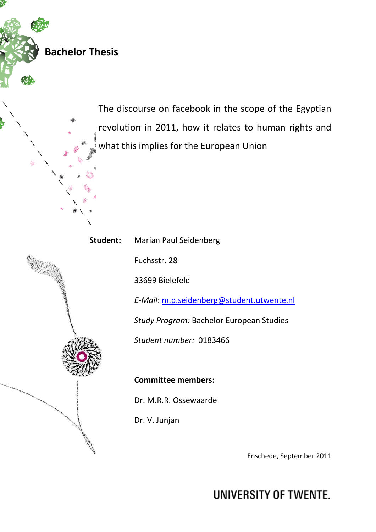**Bachelor Thesis** 

The discourse on facebook in the scope of the Egyptian revolution in 2011, how it relates to human rights and what this i his implies for the European Union

Student: Marian Paul Seidenberg

Fu Fuchsstr. 28

33 33699 Bielefeld

E-Mail: m.p.seidenberg@student.utwente.nl

Study Program: Bachelor European Studies

*Stu Student number:* 0183466

**Co Committee members:** 

Dr Dr. M.R.R. Ossewaarde

Dr Dr. V. Junjan

Enschede, September 2011

**UNIVERSITY OF TWENTE.**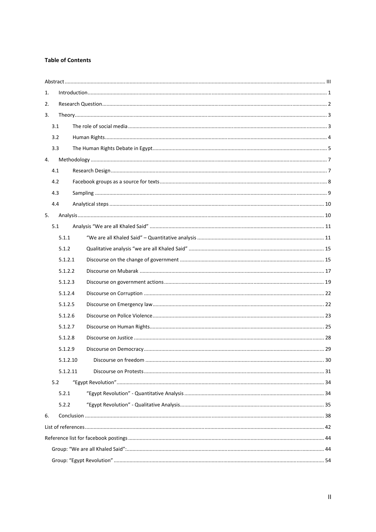# **Table of Contents**

| 1. |          |                        |    |  |  |  |
|----|----------|------------------------|----|--|--|--|
| 2. |          |                        |    |  |  |  |
| 3. |          |                        |    |  |  |  |
|    | 3.1      |                        |    |  |  |  |
|    | 3.2      |                        |    |  |  |  |
|    | 3.3      |                        |    |  |  |  |
| 4. |          |                        |    |  |  |  |
|    | 4.1      |                        |    |  |  |  |
|    | 4.2      |                        |    |  |  |  |
|    | 4.3      |                        |    |  |  |  |
|    | 4.4      |                        |    |  |  |  |
| 5. |          |                        |    |  |  |  |
|    | 5.1      |                        |    |  |  |  |
|    | 5.1.1    |                        |    |  |  |  |
|    | 5.1.2    |                        |    |  |  |  |
|    | 5.1.2.1  |                        |    |  |  |  |
|    | 5.1.2.2  |                        |    |  |  |  |
|    | 5.1.2.3  |                        |    |  |  |  |
|    | 5.1.2.4  |                        |    |  |  |  |
|    | 5.1.2.5  |                        |    |  |  |  |
|    | 5.1.2.6  |                        |    |  |  |  |
|    | 5.1.2.7  |                        |    |  |  |  |
|    | 5.1.2.8  |                        |    |  |  |  |
|    | 5.1.2.9  |                        |    |  |  |  |
|    | 5.1.2.10 | . Discourse on freedom | 30 |  |  |  |
|    | 5.1.2.11 |                        |    |  |  |  |
|    | 5.2      |                        |    |  |  |  |
|    | 5.2.1    |                        |    |  |  |  |
|    | 5.2.2    |                        |    |  |  |  |
| 6. |          |                        |    |  |  |  |
|    |          |                        |    |  |  |  |
|    |          |                        |    |  |  |  |
|    |          |                        |    |  |  |  |
|    |          |                        |    |  |  |  |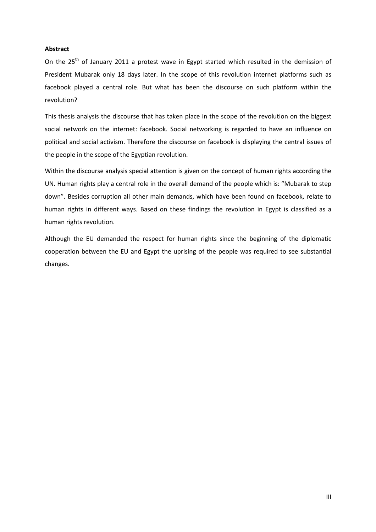# **Abstract**

On the  $25<sup>th</sup>$  of January 2011 a protest wave in Egypt started which resulted in the demission of President Mubarak only 18 days later. In the scope of this revolution internet platforms such as facebook played a central role. But what has been the discourse on such platform within the revolution?

This thesis analysis the discourse that has taken place in the scope of the revolution on the biggest social network on the internet: facebook. Social networking is regarded to have an influence on political and social activism. Therefore the discourse on facebook is displaying the central issues of the people in the scope of the Egyptian revolution.

Within the discourse analysis special attention is given on the concept of human rights according the UN. Human rights play a central role in the overall demand of the people which is: "Mubarak to step down". Besides corruption all other main demands, which have been found on facebook, relate to human rights in different ways. Based on these findings the revolution in Egypt is classified as a human rights revolution.

Although the EU demanded the respect for human rights since the beginning of the diplomatic cooperation between the EU and Egypt the uprising of the people was required to see substantial changes.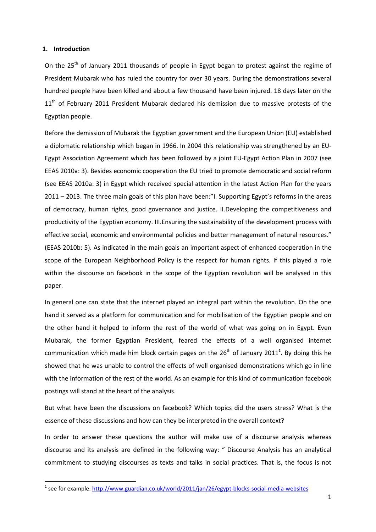# **1. Introduction**

l

On the 25<sup>th</sup> of January 2011 thousands of people in Egypt began to protest against the regime of President Mubarak who has ruled the country for over 30 years. During the demonstrations several hundred people have been killed and about a few thousand have been injured. 18 days later on the 11<sup>th</sup> of February 2011 President Mubarak declared his demission due to massive protests of the Egyptian people.

Before the demission of Mubarak the Egyptian government and the European Union (EU) established a diplomatic relationship which began in 1966. In 2004 this relationship was strengthened by an EU-Egypt Association Agreement which has been followed by a joint EU-Egypt Action Plan in 2007 (see EEAS 2010a: 3). Besides economic cooperation the EU tried to promote democratic and social reform (see EEAS 2010a: 3) in Egypt which received special attention in the latest Action Plan for the years 2011 – 2013. The three main goals of this plan have been:"I. Supporting Egypt's reforms in the areas of democracy, human rights, good governance and justice. II.Developing the competitiveness and productivity of the Egyptian economy. III.Ensuring the sustainability of the development process with effective social, economic and environmental policies and better management of natural resources." (EEAS 2010b: 5). As indicated in the main goals an important aspect of enhanced cooperation in the scope of the European Neighborhood Policy is the respect for human rights. If this played a role within the discourse on facebook in the scope of the Egyptian revolution will be analysed in this paper.

In general one can state that the internet played an integral part within the revolution. On the one hand it served as a platform for communication and for mobilisation of the Egyptian people and on the other hand it helped to inform the rest of the world of what was going on in Egypt. Even Mubarak, the former Egyptian President, feared the effects of a well organised internet communication which made him block certain pages on the  $26<sup>th</sup>$  of January 2011<sup>1</sup>. By doing this he showed that he was unable to control the effects of well organised demonstrations which go in line with the information of the rest of the world. As an example for this kind of communication facebook postings will stand at the heart of the analysis.

But what have been the discussions on facebook? Which topics did the users stress? What is the essence of these discussions and how can they be interpreted in the overall context?

In order to answer these questions the author will make use of a discourse analysis whereas discourse and its analysis are defined in the following way: " Discourse Analysis has an analytical commitment to studying discourses as texts and talks in social practices. That is, the focus is not

<sup>&</sup>lt;sup>1</sup> see for example: http://www.guardian.co.uk/world/2011/jan/26/egypt-blocks-social-media-websites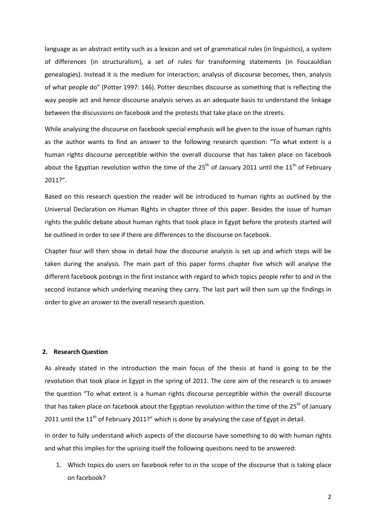language as an abstract entity such as a lexicon and set of grammatical rules (in linguistics), a system of differences (in structuralism), a set of rules for transforming statements (in Foucauldian genealogies). Instead it is the medium for interaction; analysis of discourse becomes, then, analysis of what people do" (Potter 1997: 146). Potter describes discourse as something that is reflecting the way people act and hence discourse analysis serves as an adequate basis to understand the linkage between the discussions on facebook and the protests that take place on the streets.

While analysing the discourse on facebook special emphasis will be given to the issue of human rights as the author wants to find an answer to the following research question: "To what extent is a human rights discourse perceptible within the overall discourse that has taken place on facebook about the Egyptian revolution within the time of the  $25<sup>th</sup>$  of January 2011 until the  $11<sup>th</sup>$  of February 2011?".

Based on this research question the reader will be introduced to human rights as outlined by the Universal Declaration on Human Rights in chapter three of this paper. Besides the issue of human rights the public debate about human rights that took place in Egypt before the protests started will be outlined in order to see if there are differences to the discourse on facebook.

Chapter four will then show in detail how the discourse analysis is set up and which steps will be taken during the analysis. The main part of this paper forms chapter five which will analyse the different facebook postings in the first instance with regard to which topics people refer to and in the second instance which underlying meaning they carry. The last part will then sum up the findings in order to give an answer to the overall research question.

#### **2. Research Question**

As already stated in the introduction the main focus of the thesis at hand is going to be the revolution that took place in Egypt in the spring of 2011. The core aim of the research is to answer the question "To what extent is a human rights discourse perceptible within the overall discourse that has taken place on facebook about the Egyptian revolution within the time of the 25<sup>th</sup> of January 2011 until the  $11<sup>th</sup>$  of February 2011?" which is done by analysing the case of Egypt in detail.

In order to fully understand which aspects of the discourse have something to do with human rights and what this implies for the uprising itself the following questions need to be answered:

1. Which topics do users on facebook refer to in the scope of the discourse that is taking place on facebook?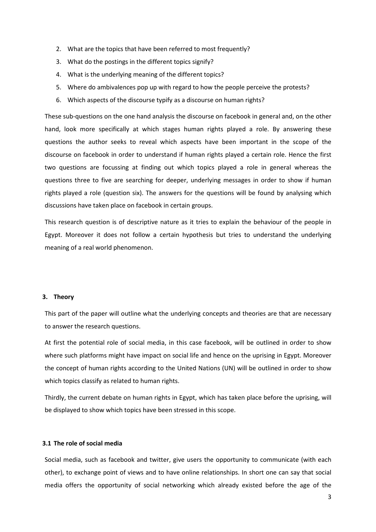- 2. What are the topics that have been referred to most frequently?
- 3. What do the postings in the different topics signify?
- 4. What is the underlying meaning of the different topics?
- 5. Where do ambivalences pop up with regard to how the people perceive the protests?
- 6. Which aspects of the discourse typify as a discourse on human rights?

These sub-questions on the one hand analysis the discourse on facebook in general and, on the other hand, look more specifically at which stages human rights played a role. By answering these questions the author seeks to reveal which aspects have been important in the scope of the discourse on facebook in order to understand if human rights played a certain role. Hence the first two questions are focussing at finding out which topics played a role in general whereas the questions three to five are searching for deeper, underlying messages in order to show if human rights played a role (question six). The answers for the questions will be found by analysing which discussions have taken place on facebook in certain groups.

This research question is of descriptive nature as it tries to explain the behaviour of the people in Egypt. Moreover it does not follow a certain hypothesis but tries to understand the underlying meaning of a real world phenomenon.

#### **3. Theory**

This part of the paper will outline what the underlying concepts and theories are that are necessary to answer the research questions.

At first the potential role of social media, in this case facebook, will be outlined in order to show where such platforms might have impact on social life and hence on the uprising in Egypt. Moreover the concept of human rights according to the United Nations (UN) will be outlined in order to show which topics classify as related to human rights.

Thirdly, the current debate on human rights in Egypt, which has taken place before the uprising, will be displayed to show which topics have been stressed in this scope.

# **3.1 The role of social media**

Social media, such as facebook and twitter, give users the opportunity to communicate (with each other), to exchange point of views and to have online relationships. In short one can say that social media offers the opportunity of social networking which already existed before the age of the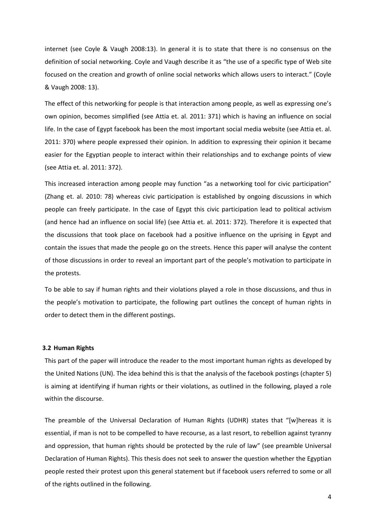internet (see Coyle & Vaugh 2008:13). In general it is to state that there is no consensus on the definition of social networking. Coyle and Vaugh describe it as "the use of a specific type of Web site focused on the creation and growth of online social networks which allows users to interact." (Coyle & Vaugh 2008: 13).

The effect of this networking for people is that interaction among people, as well as expressing one's own opinion, becomes simplified (see Attia et. al. 2011: 371) which is having an influence on social life. In the case of Egypt facebook has been the most important social media website (see Attia et. al. 2011: 370) where people expressed their opinion. In addition to expressing their opinion it became easier for the Egyptian people to interact within their relationships and to exchange points of view (see Attia et. al. 2011: 372).

This increased interaction among people may function "as a networking tool for civic participation" (Zhang et. al. 2010: 78) whereas civic participation is established by ongoing discussions in which people can freely participate. In the case of Egypt this civic participation lead to political activism (and hence had an influence on social life) (see Attia et. al. 2011: 372). Therefore it is expected that the discussions that took place on facebook had a positive influence on the uprising in Egypt and contain the issues that made the people go on the streets. Hence this paper will analyse the content of those discussions in order to reveal an important part of the people's motivation to participate in the protests.

To be able to say if human rights and their violations played a role in those discussions, and thus in the people's motivation to participate, the following part outlines the concept of human rights in order to detect them in the different postings.

#### **3.2 Human Rights**

This part of the paper will introduce the reader to the most important human rights as developed by the United Nations (UN). The idea behind this is that the analysis of the facebook postings (chapter 5) is aiming at identifying if human rights or their violations, as outlined in the following, played a role within the discourse.

The preamble of the Universal Declaration of Human Rights (UDHR) states that "[w]hereas it is essential, if man is not to be compelled to have recourse, as a last resort, to rebellion against tyranny and oppression, that human rights should be protected by the rule of law" (see preamble Universal Declaration of Human Rights). This thesis does not seek to answer the question whether the Egyptian people rested their protest upon this general statement but if facebook users referred to some or all of the rights outlined in the following.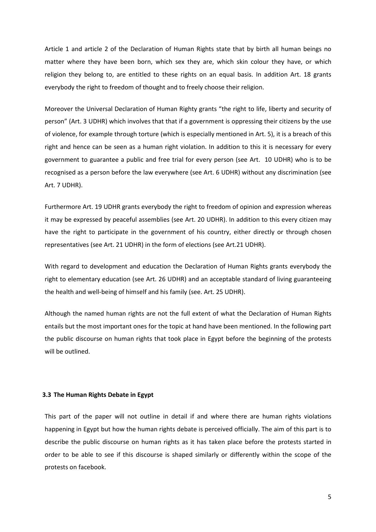Article 1 and article 2 of the Declaration of Human Rights state that by birth all human beings no matter where they have been born, which sex they are, which skin colour they have, or which religion they belong to, are entitled to these rights on an equal basis. In addition Art. 18 grants everybody the right to freedom of thought and to freely choose their religion.

Moreover the Universal Declaration of Human Righty grants "the right to life, liberty and security of person" (Art. 3 UDHR) which involves that that if a government is oppressing their citizens by the use of violence, for example through torture (which is especially mentioned in Art. 5), it is a breach of this right and hence can be seen as a human right violation. In addition to this it is necessary for every government to guarantee a public and free trial for every person (see Art. 10 UDHR) who is to be recognised as a person before the law everywhere (see Art. 6 UDHR) without any discrimination (see Art. 7 UDHR).

Furthermore Art. 19 UDHR grants everybody the right to freedom of opinion and expression whereas it may be expressed by peaceful assemblies (see Art. 20 UDHR). In addition to this every citizen may have the right to participate in the government of his country, either directly or through chosen representatives (see Art. 21 UDHR) in the form of elections (see Art.21 UDHR).

With regard to development and education the Declaration of Human Rights grants everybody the right to elementary education (see Art. 26 UDHR) and an acceptable standard of living guaranteeing the health and well-being of himself and his family (see. Art. 25 UDHR).

Although the named human rights are not the full extent of what the Declaration of Human Rights entails but the most important ones for the topic at hand have been mentioned. In the following part the public discourse on human rights that took place in Egypt before the beginning of the protests will be outlined.

#### **3.3 The Human Rights Debate in Egypt**

This part of the paper will not outline in detail if and where there are human rights violations happening in Egypt but how the human rights debate is perceived officially. The aim of this part is to describe the public discourse on human rights as it has taken place before the protests started in order to be able to see if this discourse is shaped similarly or differently within the scope of the protests on facebook.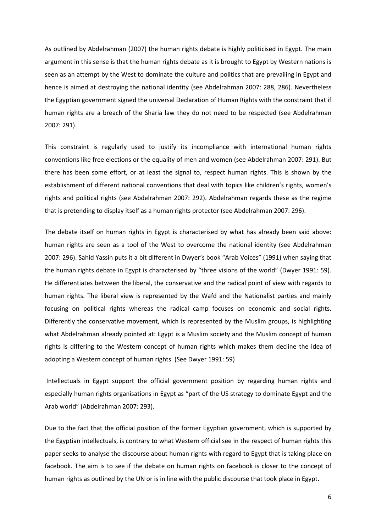As outlined by Abdelrahman (2007) the human rights debate is highly politicised in Egypt. The main argument in this sense is that the human rights debate as it is brought to Egypt by Western nations is seen as an attempt by the West to dominate the culture and politics that are prevailing in Egypt and hence is aimed at destroying the national identity (see Abdelrahman 2007: 288, 286). Nevertheless the Egyptian government signed the universal Declaration of Human Rights with the constraint that if human rights are a breach of the Sharia law they do not need to be respected (see Abdelrahman 2007: 291).

This constraint is regularly used to justify its incompliance with international human rights conventions like free elections or the equality of men and women (see Abdelrahman 2007: 291). But there has been some effort, or at least the signal to, respect human rights. This is shown by the establishment of different national conventions that deal with topics like children's rights, women's rights and political rights (see Abdelrahman 2007: 292). Abdelrahman regards these as the regime that is pretending to display itself as a human rights protector (see Abdelrahman 2007: 296).

The debate itself on human rights in Egypt is characterised by what has already been said above: human rights are seen as a tool of the West to overcome the national identity (see Abdelrahman 2007: 296). Sahid Yassin puts it a bit different in Dwyer's book "Arab Voices" (1991) when saying that the human rights debate in Egypt is characterised by "three visions of the world" (Dwyer 1991: 59). He differentiates between the liberal, the conservative and the radical point of view with regards to human rights. The liberal view is represented by the Wafd and the Nationalist parties and mainly focusing on political rights whereas the radical camp focuses on economic and social rights. Differently the conservative movement, which is represented by the Muslim groups, is highlighting what Abdelrahman already pointed at: Egypt is a Muslim society and the Muslim concept of human rights is differing to the Western concept of human rights which makes them decline the idea of adopting a Western concept of human rights. (See Dwyer 1991: 59)

 Intellectuals in Egypt support the official government position by regarding human rights and especially human rights organisations in Egypt as "part of the US strategy to dominate Egypt and the Arab world" (Abdelrahman 2007: 293).

Due to the fact that the official position of the former Egyptian government, which is supported by the Egyptian intellectuals, is contrary to what Western official see in the respect of human rights this paper seeks to analyse the discourse about human rights with regard to Egypt that is taking place on facebook. The aim is to see if the debate on human rights on facebook is closer to the concept of human rights as outlined by the UN or is in line with the public discourse that took place in Egypt.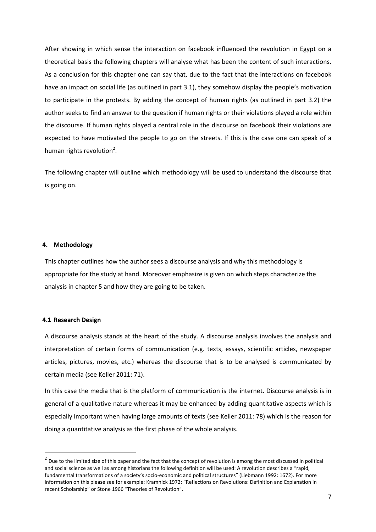After showing in which sense the interaction on facebook influenced the revolution in Egypt on a theoretical basis the following chapters will analyse what has been the content of such interactions. As a conclusion for this chapter one can say that, due to the fact that the interactions on facebook have an impact on social life (as outlined in part 3.1), they somehow display the people's motivation to participate in the protests. By adding the concept of human rights (as outlined in part 3.2) the author seeks to find an answer to the question if human rights or their violations played a role within the discourse. If human rights played a central role in the discourse on facebook their violations are expected to have motivated the people to go on the streets. If this is the case one can speak of a human rights revolution<sup>2</sup>.

The following chapter will outline which methodology will be used to understand the discourse that is going on.

# **4. Methodology**

This chapter outlines how the author sees a discourse analysis and why this methodology is appropriate for the study at hand. Moreover emphasize is given on which steps characterize the analysis in chapter 5 and how they are going to be taken.

#### **4.1 Research Design**

l

A discourse analysis stands at the heart of the study. A discourse analysis involves the analysis and interpretation of certain forms of communication (e.g. texts, essays, scientific articles, newspaper articles, pictures, movies, etc.) whereas the discourse that is to be analysed is communicated by certain media (see Keller 2011: 71).

In this case the media that is the platform of communication is the internet. Discourse analysis is in general of a qualitative nature whereas it may be enhanced by adding quantitative aspects which is especially important when having large amounts of texts (see Keller 2011: 78) which is the reason for doing a quantitative analysis as the first phase of the whole analysis.

 $^2$  Due to the limited size of this paper and the fact that the concept of revolution is among the most discussed in political and social science as well as among historians the following definition will be used: A revolution describes a "rapid, fundamental transformations of a society's socio-economic and political structures" (Liebmann 1992: 1672). For more information on this please see for example: Kramnick 1972: "Reflections on Revolutions: Definition and Explanation in recent Scholarship" or Stone 1966 "Theories of Revolution".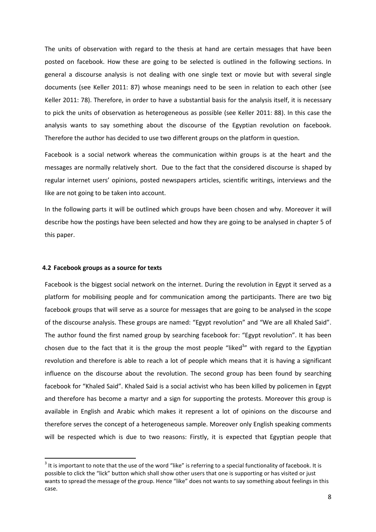The units of observation with regard to the thesis at hand are certain messages that have been posted on facebook. How these are going to be selected is outlined in the following sections. In general a discourse analysis is not dealing with one single text or movie but with several single documents (see Keller 2011: 87) whose meanings need to be seen in relation to each other (see Keller 2011: 78). Therefore, in order to have a substantial basis for the analysis itself, it is necessary to pick the units of observation as heterogeneous as possible (see Keller 2011: 88). In this case the analysis wants to say something about the discourse of the Egyptian revolution on facebook. Therefore the author has decided to use two different groups on the platform in question.

Facebook is a social network whereas the communication within groups is at the heart and the messages are normally relatively short. Due to the fact that the considered discourse is shaped by regular internet users' opinions, posted newspapers articles, scientific writings, interviews and the like are not going to be taken into account.

In the following parts it will be outlined which groups have been chosen and why. Moreover it will describe how the postings have been selected and how they are going to be analysed in chapter 5 of this paper.

# **4.2 Facebook groups as a source for texts**

Facebook is the biggest social network on the internet. During the revolution in Egypt it served as a platform for mobilising people and for communication among the participants. There are two big facebook groups that will serve as a source for messages that are going to be analysed in the scope of the discourse analysis. These groups are named: "Egypt revolution" and "We are all Khaled Said". The author found the first named group by searching facebook for: "Egypt revolution". It has been chosen due to the fact that it is the group the most people "liked<sup>3</sup>" with regard to the Egyptian revolution and therefore is able to reach a lot of people which means that it is having a significant influence on the discourse about the revolution. The second group has been found by searching facebook for "Khaled Said". Khaled Said is a social activist who has been killed by policemen in Egypt and therefore has become a martyr and a sign for supporting the protests. Moreover this group is available in English and Arabic which makes it represent a lot of opinions on the discourse and therefore serves the concept of a heterogeneous sample. Moreover only English speaking comments will be respected which is due to two reasons: Firstly, it is expected that Egyptian people that

 $3$  It is important to note that the use of the word "like" is referring to a special functionality of facebook. It is possible to click the "lick" button which shall show other users that one is supporting or has visited or just wants to spread the message of the group. Hence "like" does not wants to say something about feelings in this case.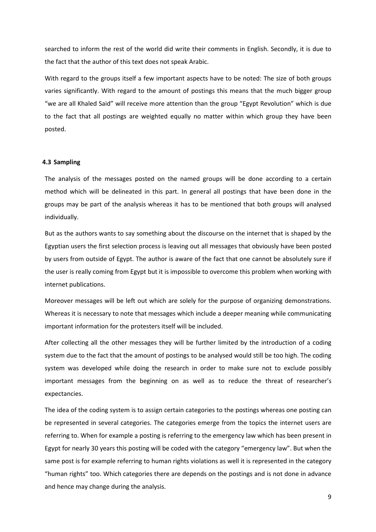searched to inform the rest of the world did write their comments in English. Secondly, it is due to the fact that the author of this text does not speak Arabic.

With regard to the groups itself a few important aspects have to be noted: The size of both groups varies significantly. With regard to the amount of postings this means that the much bigger group "we are all Khaled Said" will receive more attention than the group "Egypt Revolution" which is due to the fact that all postings are weighted equally no matter within which group they have been posted.

# **4.3 Sampling**

The analysis of the messages posted on the named groups will be done according to a certain method which will be delineated in this part. In general all postings that have been done in the groups may be part of the analysis whereas it has to be mentioned that both groups will analysed individually.

But as the authors wants to say something about the discourse on the internet that is shaped by the Egyptian users the first selection process is leaving out all messages that obviously have been posted by users from outside of Egypt. The author is aware of the fact that one cannot be absolutely sure if the user is really coming from Egypt but it is impossible to overcome this problem when working with internet publications.

Moreover messages will be left out which are solely for the purpose of organizing demonstrations. Whereas it is necessary to note that messages which include a deeper meaning while communicating important information for the protesters itself will be included.

After collecting all the other messages they will be further limited by the introduction of a coding system due to the fact that the amount of postings to be analysed would still be too high. The coding system was developed while doing the research in order to make sure not to exclude possibly important messages from the beginning on as well as to reduce the threat of researcher's expectancies.

The idea of the coding system is to assign certain categories to the postings whereas one posting can be represented in several categories. The categories emerge from the topics the internet users are referring to. When for example a posting is referring to the emergency law which has been present in Egypt for nearly 30 years this posting will be coded with the category "emergency law". But when the same post is for example referring to human rights violations as well it is represented in the category "human rights" too. Which categories there are depends on the postings and is not done in advance and hence may change during the analysis.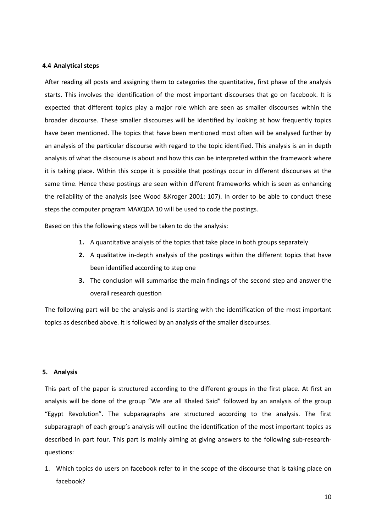# **4.4 Analytical steps**

After reading all posts and assigning them to categories the quantitative, first phase of the analysis starts. This involves the identification of the most important discourses that go on facebook. It is expected that different topics play a major role which are seen as smaller discourses within the broader discourse. These smaller discourses will be identified by looking at how frequently topics have been mentioned. The topics that have been mentioned most often will be analysed further by an analysis of the particular discourse with regard to the topic identified. This analysis is an in depth analysis of what the discourse is about and how this can be interpreted within the framework where it is taking place. Within this scope it is possible that postings occur in different discourses at the same time. Hence these postings are seen within different frameworks which is seen as enhancing the reliability of the analysis (see Wood &Kroger 2001: 107). In order to be able to conduct these steps the computer program MAXQDA 10 will be used to code the postings.

Based on this the following steps will be taken to do the analysis:

- **1.** A quantitative analysis of the topics that take place in both groups separately
- **2.** A qualitative in-depth analysis of the postings within the different topics that have been identified according to step one
- **3.** The conclusion will summarise the main findings of the second step and answer the overall research question

The following part will be the analysis and is starting with the identification of the most important topics as described above. It is followed by an analysis of the smaller discourses.

#### **5. Analysis**

This part of the paper is structured according to the different groups in the first place. At first an analysis will be done of the group "We are all Khaled Said" followed by an analysis of the group "Egypt Revolution". The subparagraphs are structured according to the analysis. The first subparagraph of each group's analysis will outline the identification of the most important topics as described in part four. This part is mainly aiming at giving answers to the following sub-researchquestions:

1. Which topics do users on facebook refer to in the scope of the discourse that is taking place on facebook?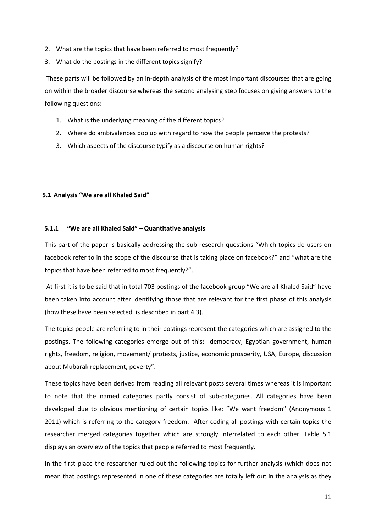- 2. What are the topics that have been referred to most frequently?
- 3. What do the postings in the different topics signify?

 These parts will be followed by an in-depth analysis of the most important discourses that are going on within the broader discourse whereas the second analysing step focuses on giving answers to the following questions:

- 1. What is the underlying meaning of the different topics?
- 2. Where do ambivalences pop up with regard to how the people perceive the protests?
- 3. Which aspects of the discourse typify as a discourse on human rights?

# **5.1 Analysis "We are all Khaled Said"**

# **5.1.1 "We are all Khaled Said" – Quantitative analysis**

This part of the paper is basically addressing the sub-research questions "Which topics do users on facebook refer to in the scope of the discourse that is taking place on facebook?" and "what are the topics that have been referred to most frequently?".

 At first it is to be said that in total 703 postings of the facebook group "We are all Khaled Said" have been taken into account after identifying those that are relevant for the first phase of this analysis (how these have been selected is described in part 4.3).

The topics people are referring to in their postings represent the categories which are assigned to the postings. The following categories emerge out of this: democracy, Egyptian government, human rights, freedom, religion, movement/ protests, justice, economic prosperity, USA, Europe, discussion about Mubarak replacement, poverty".

These topics have been derived from reading all relevant posts several times whereas it is important to note that the named categories partly consist of sub-categories. All categories have been developed due to obvious mentioning of certain topics like: "We want freedom" (Anonymous 1 2011) which is referring to the category freedom. After coding all postings with certain topics the researcher merged categories together which are strongly interrelated to each other. Table 5.1 displays an overview of the topics that people referred to most frequently.

In the first place the researcher ruled out the following topics for further analysis (which does not mean that postings represented in one of these categories are totally left out in the analysis as they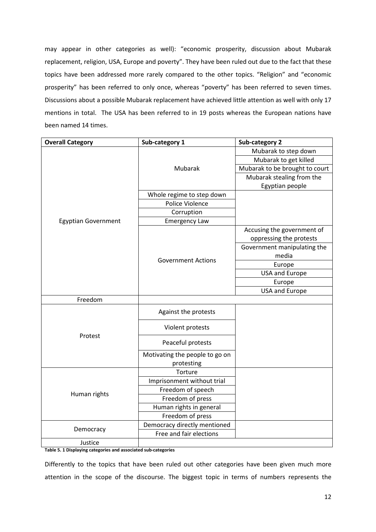may appear in other categories as well): "economic prosperity, discussion about Mubarak replacement, religion, USA, Europe and poverty". They have been ruled out due to the fact that these topics have been addressed more rarely compared to the other topics. "Religion" and "economic prosperity" has been referred to only once, whereas "poverty" has been referred to seven times. Discussions about a possible Mubarak replacement have achieved little attention as well with only 17 mentions in total. The USA has been referred to in 19 posts whereas the European nations have been named 14 times.

| <b>Overall Category</b>    | Sub-category 1                 | <b>Sub-category 2</b>          |
|----------------------------|--------------------------------|--------------------------------|
|                            |                                | Mubarak to step down           |
|                            |                                | Mubarak to get killed          |
|                            | Mubarak                        | Mubarak to be brought to court |
|                            |                                | Mubarak stealing from the      |
|                            |                                | Egyptian people                |
|                            | Whole regime to step down      |                                |
|                            | Police Violence                |                                |
|                            | Corruption                     |                                |
| <b>Egyptian Government</b> | <b>Emergency Law</b>           |                                |
|                            |                                | Accusing the government of     |
|                            |                                | oppressing the protests        |
|                            |                                | Government manipulating the    |
|                            | <b>Government Actions</b>      | media                          |
|                            |                                | Europe                         |
|                            |                                | <b>USA and Europe</b>          |
|                            |                                | Europe                         |
|                            |                                | <b>USA and Europe</b>          |
| Freedom                    |                                |                                |
|                            | Against the protests           |                                |
|                            | Violent protests               |                                |
| Protest                    | Peaceful protests              |                                |
|                            | Motivating the people to go on |                                |
|                            | protesting                     |                                |
|                            | Torture                        |                                |
|                            | Imprisonment without trial     |                                |
|                            | Freedom of speech              |                                |
| Human rights               | Freedom of press               |                                |
|                            | Human rights in general        |                                |
|                            | Freedom of press               |                                |
|                            | Democracy directly mentioned   |                                |
| Democracy                  | Free and fair elections        |                                |
| Justice                    |                                |                                |

**Table 5. 1 Displaying categories and associated sub-categories** 

Differently to the topics that have been ruled out other categories have been given much more attention in the scope of the discourse. The biggest topic in terms of numbers represents the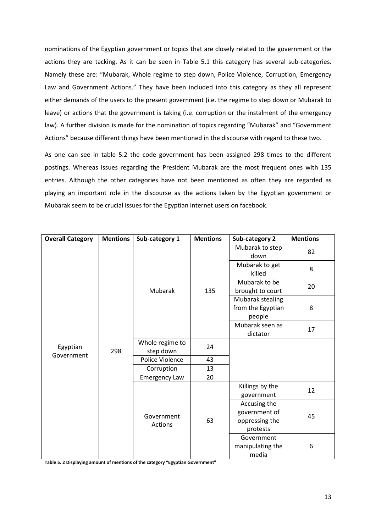nominations of the Egyptian government or topics that are closely related to the government or the actions they are tacking. As it can be seen in Table 5.1 this category has several sub-categories. Namely these are: "Mubarak, Whole regime to step down, Police Violence, Corruption, Emergency Law and Government Actions." They have been included into this category as they all represent either demands of the users to the present government (i.e. the regime to step down or Mubarak to leave) or actions that the government is taking (i.e. corruption or the instalment of the emergency law). A further division is made for the nomination of topics regarding "Mubarak" and "Government Actions" because different things have been mentioned in the discourse with regard to these two.

As one can see in table 5.2 the code government has been assigned 298 times to the different postings. Whereas issues regarding the President Mubarak are the most frequent ones with 135 entries. Although the other categories have not been mentioned as often they are regarded as playing an important role in the discourse as the actions taken by the Egyptian government or Mubarak seem to be crucial issues for the Egyptian internet users on facebook.

| <b>Overall Category</b> | <b>Mentions</b> | Sub-category 1        | <b>Mentions</b> | Sub-category 2                                  | <b>Mentions</b> |
|-------------------------|-----------------|-----------------------|-----------------|-------------------------------------------------|-----------------|
|                         | 298             | Mubarak               | 135             | Mubarak to step<br>down                         | 82              |
|                         |                 |                       |                 | Mubarak to get<br>killed                        | 8               |
|                         |                 |                       |                 | Mubarak to be                                   | 20              |
|                         |                 |                       |                 | brought to court                                |                 |
|                         |                 |                       |                 | Mubarak stealing<br>from the Egyptian<br>people | 8               |
|                         |                 |                       |                 | Mubarak seen as                                 | 17              |
|                         |                 |                       |                 | dictator                                        |                 |
| Egyptian                |                 | Whole regime to       | 24              |                                                 |                 |
| Government              |                 | step down             |                 |                                                 |                 |
|                         |                 | Police Violence       | 43              |                                                 |                 |
|                         |                 | Corruption            | 13              |                                                 |                 |
|                         |                 | <b>Emergency Law</b>  | 20              |                                                 |                 |
|                         |                 | Government<br>Actions | 63              | Killings by the                                 | 12              |
|                         |                 |                       |                 | government                                      |                 |
|                         |                 |                       |                 | Accusing the                                    |                 |
|                         |                 |                       |                 | government of                                   | 45              |
|                         |                 |                       |                 | oppressing the                                  |                 |
|                         |                 |                       |                 | protests                                        |                 |
|                         |                 |                       |                 | Government                                      |                 |
|                         |                 |                       |                 | manipulating the                                | 6               |
|                         |                 |                       |                 | media                                           |                 |

**Table 5. 2 Displaying amount of mentions of the category "Egyptian Government"**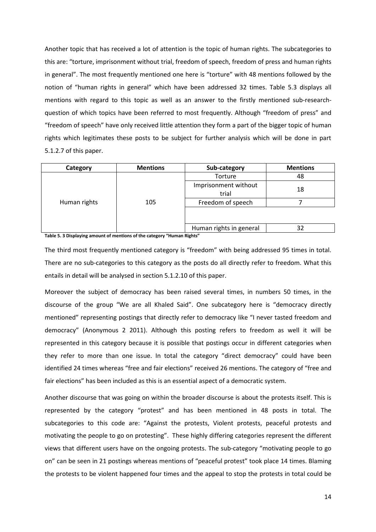Another topic that has received a lot of attention is the topic of human rights. The subcategories to this are: "torture, imprisonment without trial, freedom of speech, freedom of press and human rights in general". The most frequently mentioned one here is "torture" with 48 mentions followed by the notion of "human rights in general" which have been addressed 32 times. Table 5.3 displays all mentions with regard to this topic as well as an answer to the firstly mentioned sub-researchquestion of which topics have been referred to most frequently. Although "freedom of press" and "freedom of speech" have only received little attention they form a part of the bigger topic of human rights which legitimates these posts to be subject for further analysis which will be done in part 5.1.2.7 of this paper.

| Category     | <b>Mentions</b>                      | Sub-category                  | <b>Mentions</b> |
|--------------|--------------------------------------|-------------------------------|-----------------|
|              | 105<br>$\sim$ $\sim$ $\sim$<br>--- - | Torture                       | 48              |
|              |                                      | Imprisonment without<br>trial | 18              |
| Human rights |                                      | Freedom of speech             |                 |
|              |                                      |                               |                 |
|              |                                      | Human rights in general       | 32              |

**Table 5. 3 Displaying amount of mentions of the category "Human Rights"** 

The third most frequently mentioned category is "freedom" with being addressed 95 times in total. There are no sub-categories to this category as the posts do all directly refer to freedom. What this entails in detail will be analysed in section 5.1.2.10 of this paper.

Moreover the subject of democracy has been raised several times, in numbers 50 times, in the discourse of the group "We are all Khaled Said". One subcategory here is "democracy directly mentioned" representing postings that directly refer to democracy like "I never tasted freedom and democracy" (Anonymous 2 2011). Although this posting refers to freedom as well it will be represented in this category because it is possible that postings occur in different categories when they refer to more than one issue. In total the category "direct democracy" could have been identified 24 times whereas "free and fair elections" received 26 mentions. The category of "free and fair elections" has been included as this is an essential aspect of a democratic system.

Another discourse that was going on within the broader discourse is about the protests itself. This is represented by the category "protest" and has been mentioned in 48 posts in total. The subcategories to this code are: "Against the protests, Violent protests, peaceful protests and motivating the people to go on protesting". These highly differing categories represent the different views that different users have on the ongoing protests. The sub-category "motivating people to go on" can be seen in 21 postings whereas mentions of "peaceful protest" took place 14 times. Blaming the protests to be violent happened four times and the appeal to stop the protests in total could be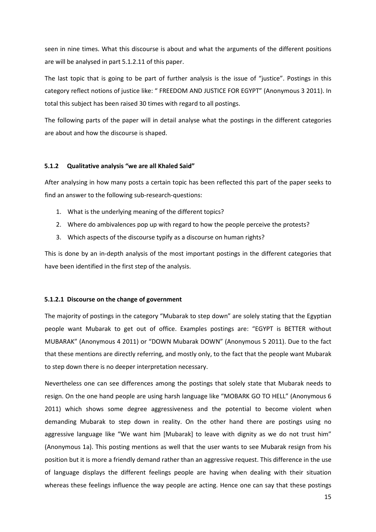seen in nine times. What this discourse is about and what the arguments of the different positions are will be analysed in part 5.1.2.11 of this paper.

The last topic that is going to be part of further analysis is the issue of "justice". Postings in this category reflect notions of justice like: " FREEDOM AND JUSTICE FOR EGYPT" (Anonymous 3 2011). In total this subject has been raised 30 times with regard to all postings.

The following parts of the paper will in detail analyse what the postings in the different categories are about and how the discourse is shaped.

# **5.1.2 Qualitative analysis "we are all Khaled Said"**

After analysing in how many posts a certain topic has been reflected this part of the paper seeks to find an answer to the following sub-research-questions:

- 1. What is the underlying meaning of the different topics?
- 2. Where do ambivalences pop up with regard to how the people perceive the protests?
- 3. Which aspects of the discourse typify as a discourse on human rights?

This is done by an in-depth analysis of the most important postings in the different categories that have been identified in the first step of the analysis.

#### **5.1.2.1 Discourse on the change of government**

The majority of postings in the category "Mubarak to step down" are solely stating that the Egyptian people want Mubarak to get out of office. Examples postings are: "EGYPT is BETTER without MUBARAK" (Anonymous 4 2011) or "DOWN Mubarak DOWN" (Anonymous 5 2011). Due to the fact that these mentions are directly referring, and mostly only, to the fact that the people want Mubarak to step down there is no deeper interpretation necessary.

Nevertheless one can see differences among the postings that solely state that Mubarak needs to resign. On the one hand people are using harsh language like "MOBARK GO TO HELL" (Anonymous 6 2011) which shows some degree aggressiveness and the potential to become violent when demanding Mubarak to step down in reality. On the other hand there are postings using no aggressive language like "We want him [Mubarak] to leave with dignity as we do not trust him" (Anonymous 1a). This posting mentions as well that the user wants to see Mubarak resign from his position but it is more a friendly demand rather than an aggressive request. This difference in the use of language displays the different feelings people are having when dealing with their situation whereas these feelings influence the way people are acting. Hence one can say that these postings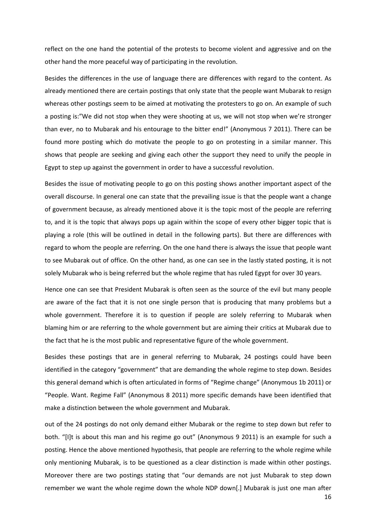reflect on the one hand the potential of the protests to become violent and aggressive and on the other hand the more peaceful way of participating in the revolution.

Besides the differences in the use of language there are differences with regard to the content. As already mentioned there are certain postings that only state that the people want Mubarak to resign whereas other postings seem to be aimed at motivating the protesters to go on. An example of such a posting is:"We did not stop when they were shooting at us, we will not stop when we're stronger than ever, no to Mubarak and his entourage to the bitter end!" (Anonymous 7 2011). There can be found more posting which do motivate the people to go on protesting in a similar manner. This shows that people are seeking and giving each other the support they need to unify the people in Egypt to step up against the government in order to have a successful revolution.

Besides the issue of motivating people to go on this posting shows another important aspect of the overall discourse. In general one can state that the prevailing issue is that the people want a change of government because, as already mentioned above it is the topic most of the people are referring to, and it is the topic that always pops up again within the scope of every other bigger topic that is playing a role (this will be outlined in detail in the following parts). But there are differences with regard to whom the people are referring. On the one hand there is always the issue that people want to see Mubarak out of office. On the other hand, as one can see in the lastly stated posting, it is not solely Mubarak who is being referred but the whole regime that has ruled Egypt for over 30 years.

Hence one can see that President Mubarak is often seen as the source of the evil but many people are aware of the fact that it is not one single person that is producing that many problems but a whole government. Therefore it is to question if people are solely referring to Mubarak when blaming him or are referring to the whole government but are aiming their critics at Mubarak due to the fact that he is the most public and representative figure of the whole government.

Besides these postings that are in general referring to Mubarak, 24 postings could have been identified in the category "government" that are demanding the whole regime to step down. Besides this general demand which is often articulated in forms of "Regime change" (Anonymous 1b 2011) or "People. Want. Regime Fall" (Anonymous 8 2011) more specific demands have been identified that make a distinction between the whole government and Mubarak.

out of the 24 postings do not only demand either Mubarak or the regime to step down but refer to both. "[I]t is about this man and his regime go out" (Anonymous 9 2011) is an example for such a posting. Hence the above mentioned hypothesis, that people are referring to the whole regime while only mentioning Mubarak, is to be questioned as a clear distinction is made within other postings. Moreover there are two postings stating that "our demands are not just Mubarak to step down remember we want the whole regime down the whole NDP down[.] Mubarak is just one man after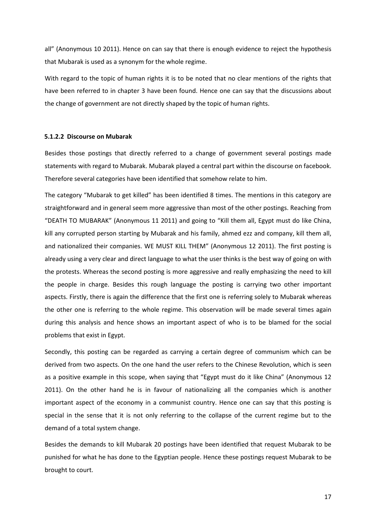all" (Anonymous 10 2011). Hence on can say that there is enough evidence to reject the hypothesis that Mubarak is used as a synonym for the whole regime.

With regard to the topic of human rights it is to be noted that no clear mentions of the rights that have been referred to in chapter 3 have been found. Hence one can say that the discussions about the change of government are not directly shaped by the topic of human rights.

# **5.1.2.2 Discourse on Mubarak**

Besides those postings that directly referred to a change of government several postings made statements with regard to Mubarak. Mubarak played a central part within the discourse on facebook. Therefore several categories have been identified that somehow relate to him.

The category "Mubarak to get killed" has been identified 8 times. The mentions in this category are straightforward and in general seem more aggressive than most of the other postings. Reaching from "DEATH TO MUBARAK" (Anonymous 11 2011) and going to "Kill them all, Egypt must do like China, kill any corrupted person starting by Mubarak and his family, ahmed ezz and company, kill them all, and nationalized their companies. WE MUST KILL THEM" (Anonymous 12 2011). The first posting is already using a very clear and direct language to what the user thinks is the best way of going on with the protests. Whereas the second posting is more aggressive and really emphasizing the need to kill the people in charge. Besides this rough language the posting is carrying two other important aspects. Firstly, there is again the difference that the first one is referring solely to Mubarak whereas the other one is referring to the whole regime. This observation will be made several times again during this analysis and hence shows an important aspect of who is to be blamed for the social problems that exist in Egypt.

Secondly, this posting can be regarded as carrying a certain degree of communism which can be derived from two aspects. On the one hand the user refers to the Chinese Revolution, which is seen as a positive example in this scope, when saying that "Egypt must do it like China" (Anonymous 12 2011). On the other hand he is in favour of nationalizing all the companies which is another important aspect of the economy in a communist country. Hence one can say that this posting is special in the sense that it is not only referring to the collapse of the current regime but to the demand of a total system change.

Besides the demands to kill Mubarak 20 postings have been identified that request Mubarak to be punished for what he has done to the Egyptian people. Hence these postings request Mubarak to be brought to court.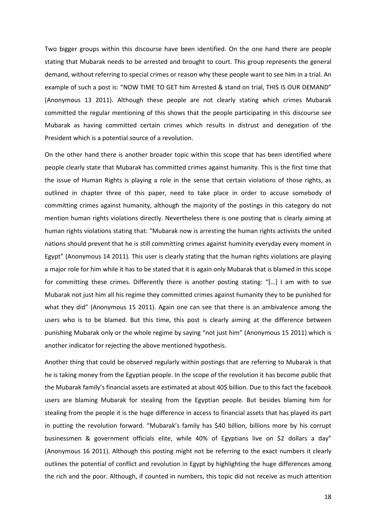Two bigger groups within this discourse have been identified. On the one hand there are people stating that Mubarak needs to be arrested and brought to court. This group represents the general demand, without referring to special crimes or reason why these people want to see him in a trial. An example of such a post is: "NOW TIME TO GET him Arrested & stand on trial, THIS IS OUR DEMAND" (Anonymous 13 2011). Although these people are not clearly stating which crimes Mubarak committed the regular mentioning of this shows that the people participating in this discourse see Mubarak as having committed certain crimes which results in distrust and denegation of the President which is a potential source of a revolution.

On the other hand there is another broader topic within this scope that has been identified where people clearly state that Mubarak has committed crimes against humanity. This is the first time that the issue of Human Rights is playing a role in the sense that certain violations of those rights, as outlined in chapter three of this paper, need to take place in order to accuse somebody of committing crimes against humanity, although the majority of the postings in this category do not mention human rights violations directly. Nevertheless there is one posting that is clearly aiming at human rights violations stating that: "Mubarak now is arresting the human rights activists the united nations should prevent that he is still committing crimes against huminity everyday every moment in Egypt" (Anonymous 14 2011). This user is clearly stating that the human rights violations are playing a major role for him while it has to be stated that it is again only Mubarak that is blamed in this scope for committing these crimes. Differently there is another posting stating: "[…] I am with to sue Mubarak not just him all his regime they committed crimes against humanity they to be punished for what they did" (Anonymous 15 2011). Again one can see that there is an ambivalence among the users who is to be blamed. But this time, this post is clearly aiming at the difference between punishing Mubarak only or the whole regime by saying "not just him" (Anonymous 15 2011) which is another indicator for rejecting the above mentioned hypothesis.

Another thing that could be observed regularly within postings that are referring to Mubarak is that he is taking money from the Egyptian people. In the scope of the revolution it has become public that the Mubarak family's financial assets are estimated at about 40\$ billion. Due to this fact the facebook users are blaming Mubarak for stealing from the Egyptian people. But besides blaming him for stealing from the people it is the huge difference in access to financial assets that has played its part in putting the revolution forward. "Mubarak's family has \$40 billion, billions more by his corrupt businessmen & government officials elite, while 40% of Egyptians live on \$2 dollars a day" (Anonymous 16 2011). Although this posting might not be referring to the exact numbers it clearly outlines the potential of conflict and revolution in Egypt by highlighting the huge differences among the rich and the poor. Although, if counted in numbers, this topic did not receive as much attention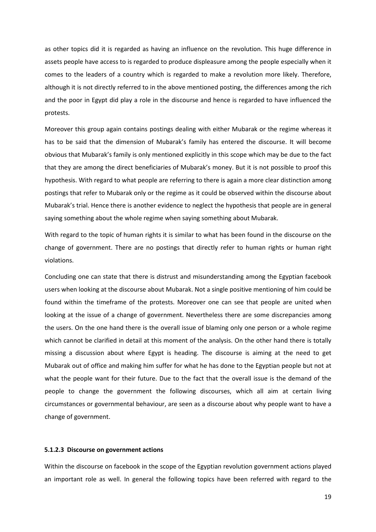as other topics did it is regarded as having an influence on the revolution. This huge difference in assets people have access to is regarded to produce displeasure among the people especially when it comes to the leaders of a country which is regarded to make a revolution more likely. Therefore, although it is not directly referred to in the above mentioned posting, the differences among the rich and the poor in Egypt did play a role in the discourse and hence is regarded to have influenced the protests.

Moreover this group again contains postings dealing with either Mubarak or the regime whereas it has to be said that the dimension of Mubarak's family has entered the discourse. It will become obvious that Mubarak's family is only mentioned explicitly in this scope which may be due to the fact that they are among the direct beneficiaries of Mubarak's money. But it is not possible to proof this hypothesis. With regard to what people are referring to there is again a more clear distinction among postings that refer to Mubarak only or the regime as it could be observed within the discourse about Mubarak's trial. Hence there is another evidence to neglect the hypothesis that people are in general saying something about the whole regime when saying something about Mubarak.

With regard to the topic of human rights it is similar to what has been found in the discourse on the change of government. There are no postings that directly refer to human rights or human right violations.

Concluding one can state that there is distrust and misunderstanding among the Egyptian facebook users when looking at the discourse about Mubarak. Not a single positive mentioning of him could be found within the timeframe of the protests. Moreover one can see that people are united when looking at the issue of a change of government. Nevertheless there are some discrepancies among the users. On the one hand there is the overall issue of blaming only one person or a whole regime which cannot be clarified in detail at this moment of the analysis. On the other hand there is totally missing a discussion about where Egypt is heading. The discourse is aiming at the need to get Mubarak out of office and making him suffer for what he has done to the Egyptian people but not at what the people want for their future. Due to the fact that the overall issue is the demand of the people to change the government the following discourses, which all aim at certain living circumstances or governmental behaviour, are seen as a discourse about why people want to have a change of government.

#### **5.1.2.3 Discourse on government actions**

Within the discourse on facebook in the scope of the Egyptian revolution government actions played an important role as well. In general the following topics have been referred with regard to the

19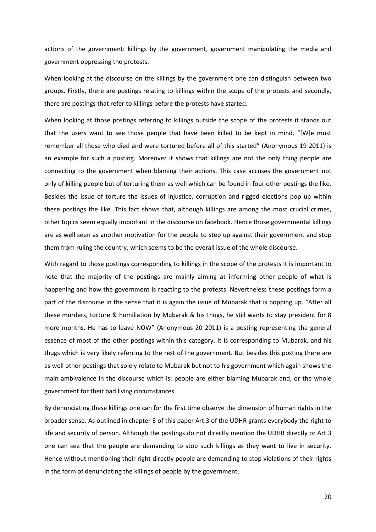actions of the government: killings by the government, government manipulating the media and government oppressing the protests.

When looking at the discourse on the killings by the government one can distinguish between two groups. Firstly, there are postings relating to killings within the scope of the protests and secondly, there are postings that refer to killings before the protests have started.

When looking at those postings referring to killings outside the scope of the protests it stands out that the users want to see those people that have been killed to be kept in mind. "[W]e must remember all those who died and were tortured before all of this started" (Anonymous 19 2011) is an example for such a posting. Moreover it shows that killings are not the only thing people are connecting to the government when blaming their actions. This case accuses the government not only of killing people but of torturing them as well which can be found in four other postings the like. Besides the issue of torture the issues of injustice, corruption and rigged elections pop up within these postings the like. This fact shows that, although killings are among the most crucial crimes, other topics seem equally important in the discourse on facebook. Hence those governmental killings are as well seen as another motivation for the people to step up against their government and stop them from ruling the country, which seems to be the overall issue of the whole discourse.

With regard to those postings corresponding to killings in the scope of the protests it is important to note that the majority of the postings are mainly aiming at informing other people of what is happening and how the government is reacting to the protests. Nevertheless these postings form a part of the discourse in the sense that it is again the issue of Mubarak that is popping up. "After all these murders, torture & humiliation by Mubarak & his thugs, he still wants to stay president for 8 more months. He has to leave NOW" (Anonymous 20 2011) is a posting representing the general essence of most of the other postings within this category. It is corresponding to Mubarak, and his thugs which is very likely referring to the rest of the government. But besides this posting there are as well other postings that solely relate to Mubarak but not to his government which again shows the main ambivalence in the discourse which is: people are either blaming Mubarak and, or the whole government for their bad living circumstances.

By denunciating these killings one can for the first time observe the dimension of human rights in the broader sense. As outlined in chapter 3 of this paper Art.3 of the UDHR grants everybody the right to life and security of person. Although the postings do not directly mention the UDHR directly or Art.3 one can see that the people are demanding to stop such killings as they want to live in security. Hence without mentioning their right directly people are demanding to stop violations of their rights in the form of denunciating the killings of people by the government.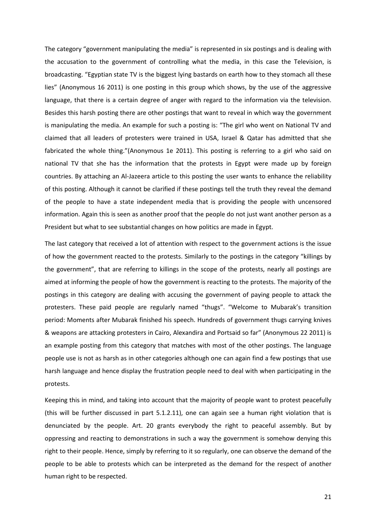The category "government manipulating the media" is represented in six postings and is dealing with the accusation to the government of controlling what the media, in this case the Television, is broadcasting. "Egyptian state TV is the biggest lying bastards on earth how to they stomach all these lies" (Anonymous 16 2011) is one posting in this group which shows, by the use of the aggressive language, that there is a certain degree of anger with regard to the information via the television. Besides this harsh posting there are other postings that want to reveal in which way the government is manipulating the media. An example for such a posting is: "The girl who went on National TV and claimed that all leaders of protesters were trained in USA, Israel & Qatar has admitted that she fabricated the whole thing."(Anonymous 1e 2011). This posting is referring to a girl who said on national TV that she has the information that the protests in Egypt were made up by foreign countries. By attaching an Al-Jazeera article to this posting the user wants to enhance the reliability of this posting. Although it cannot be clarified if these postings tell the truth they reveal the demand of the people to have a state independent media that is providing the people with uncensored information. Again this is seen as another proof that the people do not just want another person as a President but what to see substantial changes on how politics are made in Egypt.

The last category that received a lot of attention with respect to the government actions is the issue of how the government reacted to the protests. Similarly to the postings in the category "killings by the government", that are referring to killings in the scope of the protests, nearly all postings are aimed at informing the people of how the government is reacting to the protests. The majority of the postings in this category are dealing with accusing the government of paying people to attack the protesters. These paid people are regularly named "thugs". "Welcome to Mubarak's transition period: Moments after Mubarak finished his speech. Hundreds of government thugs carrying knives & weapons are attacking protesters in Cairo, Alexandira and Portsaid so far" (Anonymous 22 2011) is an example posting from this category that matches with most of the other postings. The language people use is not as harsh as in other categories although one can again find a few postings that use harsh language and hence display the frustration people need to deal with when participating in the protests.

Keeping this in mind, and taking into account that the majority of people want to protest peacefully (this will be further discussed in part 5.1.2.11), one can again see a human right violation that is denunciated by the people. Art. 20 grants everybody the right to peaceful assembly. But by oppressing and reacting to demonstrations in such a way the government is somehow denying this right to their people. Hence, simply by referring to it so regularly, one can observe the demand of the people to be able to protests which can be interpreted as the demand for the respect of another human right to be respected.

21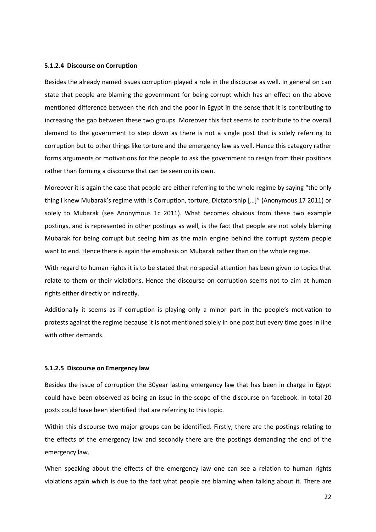# **5.1.2.4 Discourse on Corruption**

Besides the already named issues corruption played a role in the discourse as well. In general on can state that people are blaming the government for being corrupt which has an effect on the above mentioned difference between the rich and the poor in Egypt in the sense that it is contributing to increasing the gap between these two groups. Moreover this fact seems to contribute to the overall demand to the government to step down as there is not a single post that is solely referring to corruption but to other things like torture and the emergency law as well. Hence this category rather forms arguments or motivations for the people to ask the government to resign from their positions rather than forming a discourse that can be seen on its own.

Moreover it is again the case that people are either referring to the whole regime by saying "the only thing I knew Mubarak's regime with is Corruption, torture, Dictatorship […]" (Anonymous 17 2011) or solely to Mubarak (see Anonymous 1c 2011). What becomes obvious from these two example postings, and is represented in other postings as well, is the fact that people are not solely blaming Mubarak for being corrupt but seeing him as the main engine behind the corrupt system people want to end. Hence there is again the emphasis on Mubarak rather than on the whole regime.

With regard to human rights it is to be stated that no special attention has been given to topics that relate to them or their violations. Hence the discourse on corruption seems not to aim at human rights either directly or indirectly.

Additionally it seems as if corruption is playing only a minor part in the people's motivation to protests against the regime because it is not mentioned solely in one post but every time goes in line with other demands.

#### **5.1.2.5 Discourse on Emergency law**

Besides the issue of corruption the 30year lasting emergency law that has been in charge in Egypt could have been observed as being an issue in the scope of the discourse on facebook. In total 20 posts could have been identified that are referring to this topic.

Within this discourse two major groups can be identified. Firstly, there are the postings relating to the effects of the emergency law and secondly there are the postings demanding the end of the emergency law.

When speaking about the effects of the emergency law one can see a relation to human rights violations again which is due to the fact what people are blaming when talking about it. There are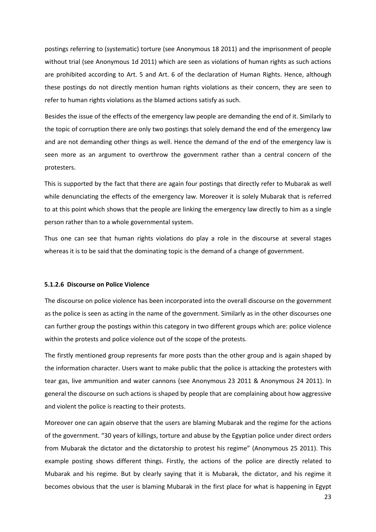postings referring to (systematic) torture (see Anonymous 18 2011) and the imprisonment of people without trial (see Anonymous 1d 2011) which are seen as violations of human rights as such actions are prohibited according to Art. 5 and Art. 6 of the declaration of Human Rights. Hence, although these postings do not directly mention human rights violations as their concern, they are seen to refer to human rights violations as the blamed actions satisfy as such.

Besides the issue of the effects of the emergency law people are demanding the end of it. Similarly to the topic of corruption there are only two postings that solely demand the end of the emergency law and are not demanding other things as well. Hence the demand of the end of the emergency law is seen more as an argument to overthrow the government rather than a central concern of the protesters.

This is supported by the fact that there are again four postings that directly refer to Mubarak as well while denunciating the effects of the emergency law. Moreover it is solely Mubarak that is referred to at this point which shows that the people are linking the emergency law directly to him as a single person rather than to a whole governmental system.

Thus one can see that human rights violations do play a role in the discourse at several stages whereas it is to be said that the dominating topic is the demand of a change of government.

## **5.1.2.6 Discourse on Police Violence**

The discourse on police violence has been incorporated into the overall discourse on the government as the police is seen as acting in the name of the government. Similarly as in the other discourses one can further group the postings within this category in two different groups which are: police violence within the protests and police violence out of the scope of the protests.

The firstly mentioned group represents far more posts than the other group and is again shaped by the information character. Users want to make public that the police is attacking the protesters with tear gas, live ammunition and water cannons (see Anonymous 23 2011 & Anonymous 24 2011). In general the discourse on such actions is shaped by people that are complaining about how aggressive and violent the police is reacting to their protests.

Moreover one can again observe that the users are blaming Mubarak and the regime for the actions of the government. "30 years of killings, torture and abuse by the Egyptian police under direct orders from Mubarak the dictator and the dictatorship to protest his regime" (Anonymous 25 2011). This example posting shows different things. Firstly, the actions of the police are directly related to Mubarak and his regime. But by clearly saying that it is Mubarak, the dictator, and his regime it becomes obvious that the user is blaming Mubarak in the first place for what is happening in Egypt

23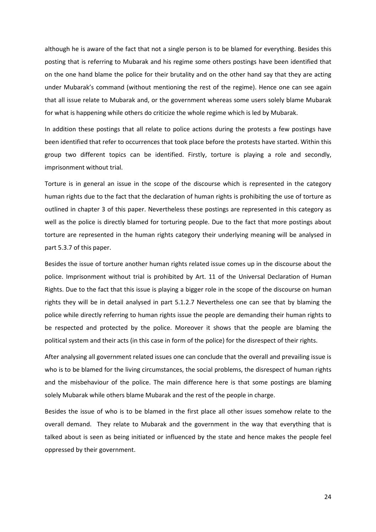although he is aware of the fact that not a single person is to be blamed for everything. Besides this posting that is referring to Mubarak and his regime some others postings have been identified that on the one hand blame the police for their brutality and on the other hand say that they are acting under Mubarak's command (without mentioning the rest of the regime). Hence one can see again that all issue relate to Mubarak and, or the government whereas some users solely blame Mubarak for what is happening while others do criticize the whole regime which is led by Mubarak.

In addition these postings that all relate to police actions during the protests a few postings have been identified that refer to occurrences that took place before the protests have started. Within this group two different topics can be identified. Firstly, torture is playing a role and secondly, imprisonment without trial.

Torture is in general an issue in the scope of the discourse which is represented in the category human rights due to the fact that the declaration of human rights is prohibiting the use of torture as outlined in chapter 3 of this paper. Nevertheless these postings are represented in this category as well as the police is directly blamed for torturing people. Due to the fact that more postings about torture are represented in the human rights category their underlying meaning will be analysed in part 5.3.7 of this paper.

Besides the issue of torture another human rights related issue comes up in the discourse about the police. Imprisonment without trial is prohibited by Art. 11 of the Universal Declaration of Human Rights. Due to the fact that this issue is playing a bigger role in the scope of the discourse on human rights they will be in detail analysed in part 5.1.2.7 Nevertheless one can see that by blaming the police while directly referring to human rights issue the people are demanding their human rights to be respected and protected by the police. Moreover it shows that the people are blaming the political system and their acts (in this case in form of the police) for the disrespect of their rights.

After analysing all government related issues one can conclude that the overall and prevailing issue is who is to be blamed for the living circumstances, the social problems, the disrespect of human rights and the misbehaviour of the police. The main difference here is that some postings are blaming solely Mubarak while others blame Mubarak and the rest of the people in charge.

Besides the issue of who is to be blamed in the first place all other issues somehow relate to the overall demand. They relate to Mubarak and the government in the way that everything that is talked about is seen as being initiated or influenced by the state and hence makes the people feel oppressed by their government.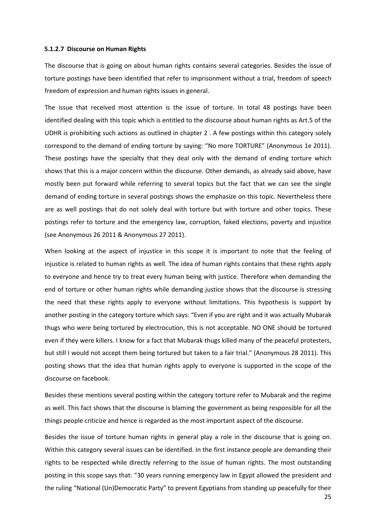#### **5.1.2.7 Discourse on Human Rights**

The discourse that is going on about human rights contains several categories. Besides the issue of torture postings have been identified that refer to imprisonment without a trial, freedom of speech freedom of expression and human rights issues in general.

The issue that received most attention is the issue of torture. In total 48 postings have been identified dealing with this topic which is entitled to the discourse about human rights as Art.5 of the UDHR is prohibiting such actions as outlined in chapter 2 . A few postings within this category solely correspond to the demand of ending torture by saying: "No more TORTURE" (Anonymous 1e 2011). These postings have the specialty that they deal only with the demand of ending torture which shows that this is a major concern within the discourse. Other demands, as already said above, have mostly been put forward while referring to several topics but the fact that we can see the single demand of ending torture in several postings shows the emphasize on this topic. Nevertheless there are as well postings that do not solely deal with torture but with torture and other topics. These postings refer to torture and the emergency law, corruption, faked elections, poverty and injustice (see Anonymous 26 2011 & Anonymous 27 2011).

When looking at the aspect of injustice in this scope it is important to note that the feeling of injustice is related to human rights as well. The idea of human rights contains that these rights apply to everyone and hence try to treat every human being with justice. Therefore when demanding the end of torture or other human rights while demanding justice shows that the discourse is stressing the need that these rights apply to everyone without limitations. This hypothesis is support by another posting in the category torture which says: "Even if you are right and it was actually Mubarak thugs who were being tortured by electrocution, this is not acceptable. NO ONE should be tortured even if they were killers. I know for a fact that Mubarak thugs killed many of the peaceful protesters, but still I would not accept them being tortured but taken to a fair trial." (Anonymous 28 2011). This posting shows that the idea that human rights apply to everyone is supported in the scope of the discourse on facebook.

Besides these mentions several posting within the category torture refer to Mubarak and the regime as well. This fact shows that the discourse is blaming the government as being responsible for all the things people criticize and hence is regarded as the most important aspect of the discourse.

Besides the issue of torture human rights in general play a role in the discourse that is going on. Within this category several issues can be identified. In the first instance people are demanding their rights to be respected while directly referring to the issue of human rights. The most outstanding posting in this scope says that: "30 years running emergency law in Egypt allowed the president and the ruling "National (Un)Democratic Party" to prevent Egyptians from standing up peacefully for their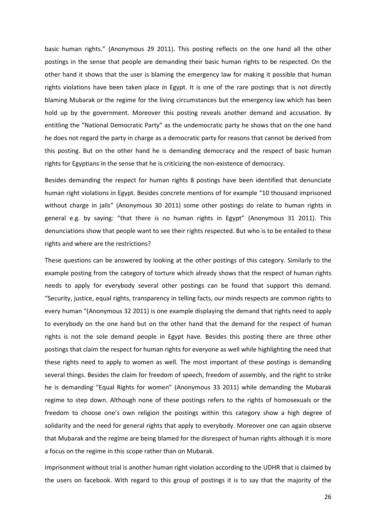basic human rights." (Anonymous 29 2011). This posting reflects on the one hand all the other postings in the sense that people are demanding their basic human rights to be respected. On the other hand it shows that the user is blaming the emergency law for making it possible that human rights violations have been taken place in Egypt. It is one of the rare postings that is not directly blaming Mubarak or the regime for the living circumstances but the emergency law which has been hold up by the government. Moreover this posting reveals another demand and accusation. By entitling the "National Democratic Party" as the undemocratic party he shows that on the one hand he does not regard the party in charge as a democratic party for reasons that cannot be derived from this posting. But on the other hand he is demanding democracy and the respect of basic human rights for Egyptians in the sense that he is criticizing the non-existence of democracy.

Besides demanding the respect for human rights 8 postings have been identified that denunciate human right violations in Egypt. Besides concrete mentions of for example "10 thousand imprisoned without charge in jails" (Anonymous 30 2011) some other postings do relate to human rights in general e.g. by saying: "that there is no human rights in Egypt" (Anonymous 31 2011). This denunciations show that people want to see their rights respected. But who is to be entailed to these rights and where are the restrictions?

These questions can be answered by looking at the other postings of this category. Similarly to the example posting from the category of torture which already shows that the respect of human rights needs to apply for everybody several other postings can be found that support this demand. "Security, justice, equal rights, transparency in telling facts, our minds respects are common rights to every human "(Anonymous 32 2011) is one example displaying the demand that rights need to apply to everybody on the one hand but on the other hand that the demand for the respect of human rights is not the sole demand people in Egypt have. Besides this posting there are three other postings that claim the respect for human rights for everyone as well while highlighting the need that these rights need to apply to women as well. The most important of these postings is demanding several things. Besides the claim for freedom of speech, freedom of assembly, and the right to strike he is demanding "Equal Rights for women" (Anonymous 33 2011) while demanding the Mubarak regime to step down. Although none of these postings refers to the rights of homosexuals or the freedom to choose one's own religion the postings within this category show a high degree of solidarity and the need for general rights that apply to everybody. Moreover one can again observe that Mubarak and the regime are being blamed for the disrespect of human rights although it is more a focus on the regime in this scope rather than on Mubarak.

Imprisonment without trial is another human right violation according to the UDHR that is claimed by the users on facebook. With regard to this group of postings it is to say that the majority of the

26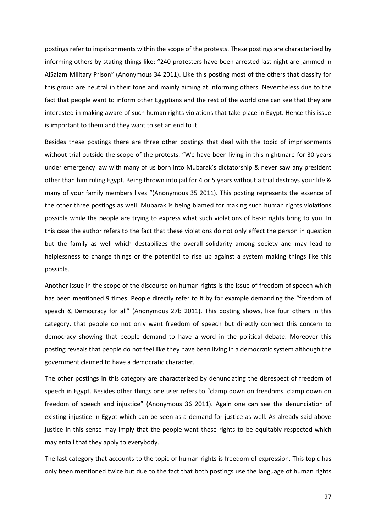postings refer to imprisonments within the scope of the protests. These postings are characterized by informing others by stating things like: "240 protesters have been arrested last night are jammed in AlSalam Military Prison" (Anonymous 34 2011). Like this posting most of the others that classify for this group are neutral in their tone and mainly aiming at informing others. Nevertheless due to the fact that people want to inform other Egyptians and the rest of the world one can see that they are interested in making aware of such human rights violations that take place in Egypt. Hence this issue is important to them and they want to set an end to it.

Besides these postings there are three other postings that deal with the topic of imprisonments without trial outside the scope of the protests. "We have been living in this nightmare for 30 years under emergency law with many of us born into Mubarak's dictatorship & never saw any president other than him ruling Egypt. Being thrown into jail for 4 or 5 years without a trial destroys your life & many of your family members lives "(Anonymous 35 2011). This posting represents the essence of the other three postings as well. Mubarak is being blamed for making such human rights violations possible while the people are trying to express what such violations of basic rights bring to you. In this case the author refers to the fact that these violations do not only effect the person in question but the family as well which destabilizes the overall solidarity among society and may lead to helplessness to change things or the potential to rise up against a system making things like this possible.

Another issue in the scope of the discourse on human rights is the issue of freedom of speech which has been mentioned 9 times. People directly refer to it by for example demanding the "freedom of speach & Democracy for all" (Anonymous 27b 2011). This posting shows, like four others in this category, that people do not only want freedom of speech but directly connect this concern to democracy showing that people demand to have a word in the political debate. Moreover this posting reveals that people do not feel like they have been living in a democratic system although the government claimed to have a democratic character.

The other postings in this category are characterized by denunciating the disrespect of freedom of speech in Egypt. Besides other things one user refers to "clamp down on freedoms, clamp down on freedom of speech and injustice" (Anonymous 36 2011). Again one can see the denunciation of existing injustice in Egypt which can be seen as a demand for justice as well. As already said above justice in this sense may imply that the people want these rights to be equitably respected which may entail that they apply to everybody.

The last category that accounts to the topic of human rights is freedom of expression. This topic has only been mentioned twice but due to the fact that both postings use the language of human rights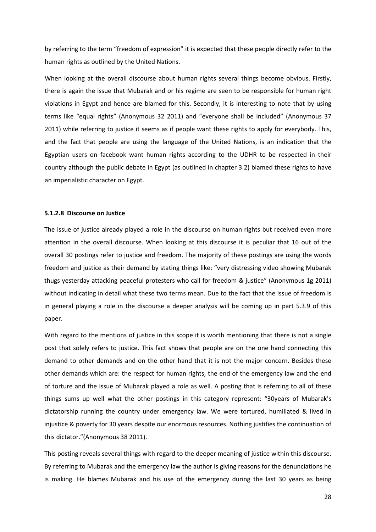by referring to the term "freedom of expression" it is expected that these people directly refer to the human rights as outlined by the United Nations.

When looking at the overall discourse about human rights several things become obvious. Firstly, there is again the issue that Mubarak and or his regime are seen to be responsible for human right violations in Egypt and hence are blamed for this. Secondly, it is interesting to note that by using terms like "equal rights" (Anonymous 32 2011) and "everyone shall be included" (Anonymous 37 2011) while referring to justice it seems as if people want these rights to apply for everybody. This, and the fact that people are using the language of the United Nations, is an indication that the Egyptian users on facebook want human rights according to the UDHR to be respected in their country although the public debate in Egypt (as outlined in chapter 3.2) blamed these rights to have an imperialistic character on Egypt.

# **5.1.2.8 Discourse on Justice**

The issue of justice already played a role in the discourse on human rights but received even more attention in the overall discourse. When looking at this discourse it is peculiar that 16 out of the overall 30 postings refer to justice and freedom. The majority of these postings are using the words freedom and justice as their demand by stating things like: "very distressing video showing Mubarak thugs yesterday attacking peaceful protesters who call for freedom & justice" (Anonymous 1g 2011) without indicating in detail what these two terms mean. Due to the fact that the issue of freedom is in general playing a role in the discourse a deeper analysis will be coming up in part 5.3.9 of this paper.

With regard to the mentions of justice in this scope it is worth mentioning that there is not a single post that solely refers to justice. This fact shows that people are on the one hand connecting this demand to other demands and on the other hand that it is not the major concern. Besides these other demands which are: the respect for human rights, the end of the emergency law and the end of torture and the issue of Mubarak played a role as well. A posting that is referring to all of these things sums up well what the other postings in this category represent: "30years of Mubarak's dictatorship running the country under emergency law. We were tortured, humiliated & lived in injustice & poverty for 30 years despite our enormous resources. Nothing justifies the continuation of this dictator."(Anonymous 38 2011).

This posting reveals several things with regard to the deeper meaning of justice within this discourse. By referring to Mubarak and the emergency law the author is giving reasons for the denunciations he is making. He blames Mubarak and his use of the emergency during the last 30 years as being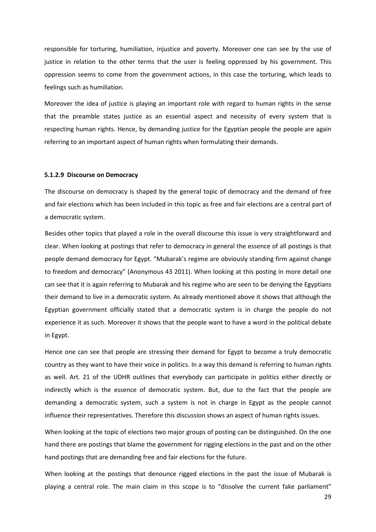responsible for torturing, humiliation, injustice and poverty. Moreover one can see by the use of justice in relation to the other terms that the user is feeling oppressed by his government. This oppression seems to come from the government actions, in this case the torturing, which leads to feelings such as humiliation.

Moreover the idea of justice is playing an important role with regard to human rights in the sense that the preamble states justice as an essential aspect and necessity of every system that is respecting human rights. Hence, by demanding justice for the Egyptian people the people are again referring to an important aspect of human rights when formulating their demands.

#### **5.1.2.9 Discourse on Democracy**

The discourse on democracy is shaped by the general topic of democracy and the demand of free and fair elections which has been included in this topic as free and fair elections are a central part of a democratic system.

Besides other topics that played a role in the overall discourse this issue is very straightforward and clear. When looking at postings that refer to democracy in general the essence of all postings is that people demand democracy for Egypt. "Mubarak's regime are obviously standing firm against change to freedom and democracy" (Anonymous 43 2011). When looking at this posting in more detail one can see that it is again referring to Mubarak and his regime who are seen to be denying the Egyptians their demand to live in a democratic system. As already mentioned above it shows that although the Egyptian government officially stated that a democratic system is in charge the people do not experience it as such. Moreover it shows that the people want to have a word in the political debate in Egypt.

Hence one can see that people are stressing their demand for Egypt to become a truly democratic country as they want to have their voice in politics. In a way this demand is referring to human rights as well. Art. 21 of the UDHR outlines that everybody can participate in politics either directly or indirectly which is the essence of democratic system. But, due to the fact that the people are demanding a democratic system, such a system is not in charge in Egypt as the people cannot influence their representatives. Therefore this discussion shows an aspect of human rights issues.

When looking at the topic of elections two major groups of posting can be distinguished. On the one hand there are postings that blame the government for rigging elections in the past and on the other hand postings that are demanding free and fair elections for the future.

When looking at the postings that denounce rigged elections in the past the issue of Mubarak is playing a central role. The main claim in this scope is to "dissolve the current fake parliament"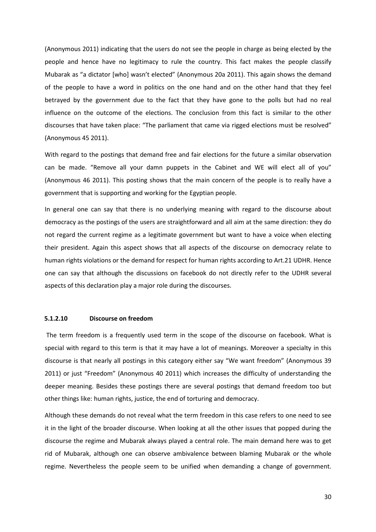(Anonymous 2011) indicating that the users do not see the people in charge as being elected by the people and hence have no legitimacy to rule the country. This fact makes the people classify Mubarak as "a dictator [who] wasn't elected" (Anonymous 20a 2011). This again shows the demand of the people to have a word in politics on the one hand and on the other hand that they feel betrayed by the government due to the fact that they have gone to the polls but had no real influence on the outcome of the elections. The conclusion from this fact is similar to the other discourses that have taken place: "The parliament that came via rigged elections must be resolved" (Anonymous 45 2011).

With regard to the postings that demand free and fair elections for the future a similar observation can be made. "Remove all your damn puppets in the Cabinet and WE will elect all of you" (Anonymous 46 2011). This posting shows that the main concern of the people is to really have a government that is supporting and working for the Egyptian people.

In general one can say that there is no underlying meaning with regard to the discourse about democracy as the postings of the users are straightforward and all aim at the same direction: they do not regard the current regime as a legitimate government but want to have a voice when electing their president. Again this aspect shows that all aspects of the discourse on democracy relate to human rights violations or the demand for respect for human rights according to Art.21 UDHR. Hence one can say that although the discussions on facebook do not directly refer to the UDHR several aspects of this declaration play a major role during the discourses.

# **5.1.2.10 Discourse on freedom**

 The term freedom is a frequently used term in the scope of the discourse on facebook. What is special with regard to this term is that it may have a lot of meanings. Moreover a specialty in this discourse is that nearly all postings in this category either say "We want freedom" (Anonymous 39 2011) or just "Freedom" (Anonymous 40 2011) which increases the difficulty of understanding the deeper meaning. Besides these postings there are several postings that demand freedom too but other things like: human rights, justice, the end of torturing and democracy.

Although these demands do not reveal what the term freedom in this case refers to one need to see it in the light of the broader discourse. When looking at all the other issues that popped during the discourse the regime and Mubarak always played a central role. The main demand here was to get rid of Mubarak, although one can observe ambivalence between blaming Mubarak or the whole regime. Nevertheless the people seem to be unified when demanding a change of government.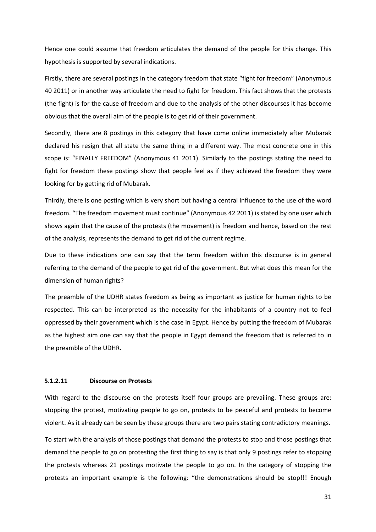Hence one could assume that freedom articulates the demand of the people for this change. This hypothesis is supported by several indications.

Firstly, there are several postings in the category freedom that state "fight for freedom" (Anonymous 40 2011) or in another way articulate the need to fight for freedom. This fact shows that the protests (the fight) is for the cause of freedom and due to the analysis of the other discourses it has become obvious that the overall aim of the people is to get rid of their government.

Secondly, there are 8 postings in this category that have come online immediately after Mubarak declared his resign that all state the same thing in a different way. The most concrete one in this scope is: "FINALLY FREEDOM" (Anonymous 41 2011). Similarly to the postings stating the need to fight for freedom these postings show that people feel as if they achieved the freedom they were looking for by getting rid of Mubarak.

Thirdly, there is one posting which is very short but having a central influence to the use of the word freedom. "The freedom movement must continue" (Anonymous 42 2011) is stated by one user which shows again that the cause of the protests (the movement) is freedom and hence, based on the rest of the analysis, represents the demand to get rid of the current regime.

Due to these indications one can say that the term freedom within this discourse is in general referring to the demand of the people to get rid of the government. But what does this mean for the dimension of human rights?

The preamble of the UDHR states freedom as being as important as justice for human rights to be respected. This can be interpreted as the necessity for the inhabitants of a country not to feel oppressed by their government which is the case in Egypt. Hence by putting the freedom of Mubarak as the highest aim one can say that the people in Egypt demand the freedom that is referred to in the preamble of the UDHR.

#### **5.1.2.11 Discourse on Protests**

With regard to the discourse on the protests itself four groups are prevailing. These groups are: stopping the protest, motivating people to go on, protests to be peaceful and protests to become violent. As it already can be seen by these groups there are two pairs stating contradictory meanings.

To start with the analysis of those postings that demand the protests to stop and those postings that demand the people to go on protesting the first thing to say is that only 9 postings refer to stopping the protests whereas 21 postings motivate the people to go on. In the category of stopping the protests an important example is the following: "the demonstrations should be stop!!! Enough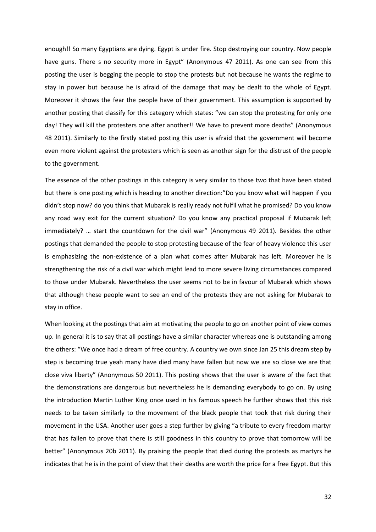enough!! So many Egyptians are dying. Egypt is under fire. Stop destroying our country. Now people have guns. There s no security more in Egypt" (Anonymous 47 2011). As one can see from this posting the user is begging the people to stop the protests but not because he wants the regime to stay in power but because he is afraid of the damage that may be dealt to the whole of Egypt. Moreover it shows the fear the people have of their government. This assumption is supported by another posting that classify for this category which states: "we can stop the protesting for only one day! They will kill the protesters one after another!! We have to prevent more deaths" (Anonymous 48 2011). Similarly to the firstly stated posting this user is afraid that the government will become even more violent against the protesters which is seen as another sign for the distrust of the people to the government.

The essence of the other postings in this category is very similar to those two that have been stated but there is one posting which is heading to another direction:"Do you know what will happen if you didn't stop now? do you think that Mubarak is really ready not fulfil what he promised? Do you know any road way exit for the current situation? Do you know any practical proposal if Mubarak left immediately? … start the countdown for the civil war" (Anonymous 49 2011). Besides the other postings that demanded the people to stop protesting because of the fear of heavy violence this user is emphasizing the non-existence of a plan what comes after Mubarak has left. Moreover he is strengthening the risk of a civil war which might lead to more severe living circumstances compared to those under Mubarak. Nevertheless the user seems not to be in favour of Mubarak which shows that although these people want to see an end of the protests they are not asking for Mubarak to stay in office.

When looking at the postings that aim at motivating the people to go on another point of view comes up. In general it is to say that all postings have a similar character whereas one is outstanding among the others: "We once had a dream of free country. A country we own since Jan 25 this dream step by step is becoming true yeah many have died many have fallen but now we are so close we are that close viva liberty" (Anonymous 50 2011). This posting shows that the user is aware of the fact that the demonstrations are dangerous but nevertheless he is demanding everybody to go on. By using the introduction Martin Luther King once used in his famous speech he further shows that this risk needs to be taken similarly to the movement of the black people that took that risk during their movement in the USA. Another user goes a step further by giving "a tribute to every freedom martyr that has fallen to prove that there is still goodness in this country to prove that tomorrow will be better" (Anonymous 20b 2011). By praising the people that died during the protests as martyrs he indicates that he is in the point of view that their deaths are worth the price for a free Egypt. But this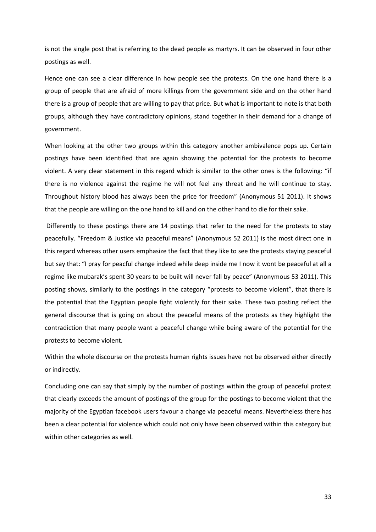is not the single post that is referring to the dead people as martyrs. It can be observed in four other postings as well.

Hence one can see a clear difference in how people see the protests. On the one hand there is a group of people that are afraid of more killings from the government side and on the other hand there is a group of people that are willing to pay that price. But what is important to note is that both groups, although they have contradictory opinions, stand together in their demand for a change of government.

When looking at the other two groups within this category another ambivalence pops up. Certain postings have been identified that are again showing the potential for the protests to become violent. A very clear statement in this regard which is similar to the other ones is the following: "if there is no violence against the regime he will not feel any threat and he will continue to stay. Throughout history blood has always been the price for freedom" (Anonymous 51 2011). It shows that the people are willing on the one hand to kill and on the other hand to die for their sake.

 Differently to these postings there are 14 postings that refer to the need for the protests to stay peacefully. "Freedom & Justice via peaceful means" (Anonymous 52 2011) is the most direct one in this regard whereas other users emphasize the fact that they like to see the protests staying peaceful but say that: "I pray for peacful change indeed while deep inside me I now it wont be peaceful at all a regime like mubarak's spent 30 years to be built will never fall by peace" (Anonymous 53 2011). This posting shows, similarly to the postings in the category "protests to become violent", that there is the potential that the Egyptian people fight violently for their sake. These two posting reflect the general discourse that is going on about the peaceful means of the protests as they highlight the contradiction that many people want a peaceful change while being aware of the potential for the protests to become violent.

Within the whole discourse on the protests human rights issues have not be observed either directly or indirectly.

Concluding one can say that simply by the number of postings within the group of peaceful protest that clearly exceeds the amount of postings of the group for the postings to become violent that the majority of the Egyptian facebook users favour a change via peaceful means. Nevertheless there has been a clear potential for violence which could not only have been observed within this category but within other categories as well.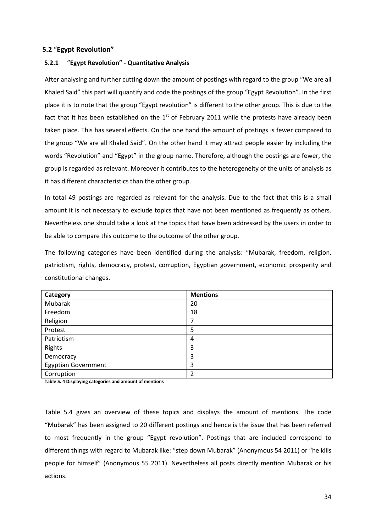# **5.2** "**Egypt Revolution"**

# **5.2.1** "**Egypt Revolution" - Quantitative Analysis**

After analysing and further cutting down the amount of postings with regard to the group "We are all Khaled Said" this part will quantify and code the postings of the group "Egypt Revolution". In the first place it is to note that the group "Egypt revolution" is different to the other group. This is due to the fact that it has been established on the  $1<sup>st</sup>$  of February 2011 while the protests have already been taken place. This has several effects. On the one hand the amount of postings is fewer compared to the group "We are all Khaled Said". On the other hand it may attract people easier by including the words "Revolution" and "Egypt" in the group name. Therefore, although the postings are fewer, the group is regarded as relevant. Moreover it contributes to the heterogeneity of the units of analysis as it has different characteristics than the other group.

In total 49 postings are regarded as relevant for the analysis. Due to the fact that this is a small amount it is not necessary to exclude topics that have not been mentioned as frequently as others. Nevertheless one should take a look at the topics that have been addressed by the users in order to be able to compare this outcome to the outcome of the other group.

The following categories have been identified during the analysis: "Mubarak, freedom, religion, patriotism, rights, democracy, protest, corruption, Egyptian government, economic prosperity and constitutional changes.

| Category                   | <b>Mentions</b> |
|----------------------------|-----------------|
| Mubarak                    | 20              |
| Freedom                    | 18              |
| Religion                   | 7               |
| Protest                    | 5               |
| Patriotism                 | 4               |
| Rights                     | 3               |
| Democracy                  | 3               |
| <b>Egyptian Government</b> | 3               |
| Corruption                 | 2               |

**Table 5. 4 Displaying categories and amount of mentions** 

Table 5.4 gives an overview of these topics and displays the amount of mentions. The code "Mubarak" has been assigned to 20 different postings and hence is the issue that has been referred to most frequently in the group "Egypt revolution". Postings that are included correspond to different things with regard to Mubarak like: "step down Mubarak" (Anonymous 54 2011) or "he kills people for himself" (Anonymous 55 2011). Nevertheless all posts directly mention Mubarak or his actions.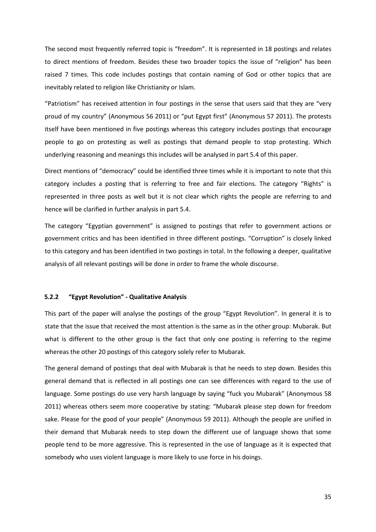The second most frequently referred topic is "freedom". It is represented in 18 postings and relates to direct mentions of freedom. Besides these two broader topics the issue of "religion" has been raised 7 times. This code includes postings that contain naming of God or other topics that are inevitably related to religion like Christianity or Islam.

"Patriotism" has received attention in four postings in the sense that users said that they are "very proud of my country" (Anonymous 56 2011) or "put Egypt first" (Anonymous 57 2011). The protests itself have been mentioned in five postings whereas this category includes postings that encourage people to go on protesting as well as postings that demand people to stop protesting. Which underlying reasoning and meanings this includes will be analysed in part 5.4 of this paper.

Direct mentions of "democracy" could be identified three times while it is important to note that this category includes a posting that is referring to free and fair elections. The category "Rights" is represented in three posts as well but it is not clear which rights the people are referring to and hence will be clarified in further analysis in part 5.4.

The category "Egyptian government" is assigned to postings that refer to government actions or government critics and has been identified in three different postings. "Corruption" is closely linked to this category and has been identified in two postings in total. In the following a deeper, qualitative analysis of all relevant postings will be done in order to frame the whole discourse.

## **5.2.2 "Egypt Revolution" - Qualitative Analysis**

This part of the paper will analyse the postings of the group "Egypt Revolution". In general it is to state that the issue that received the most attention is the same as in the other group: Mubarak. But what is different to the other group is the fact that only one posting is referring to the regime whereas the other 20 postings of this category solely refer to Mubarak.

The general demand of postings that deal with Mubarak is that he needs to step down. Besides this general demand that is reflected in all postings one can see differences with regard to the use of language. Some postings do use very harsh language by saying "fuck you Mubarak" (Anonymous 58 2011) whereas others seem more cooperative by stating: "Mubarak please step down for freedom sake. Please for the good of your people" (Anonymous 59 2011). Although the people are unified in their demand that Mubarak needs to step down the different use of language shows that some people tend to be more aggressive. This is represented in the use of language as it is expected that somebody who uses violent language is more likely to use force in his doings.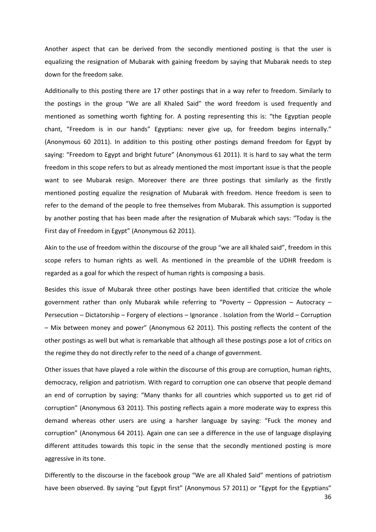Another aspect that can be derived from the secondly mentioned posting is that the user is equalizing the resignation of Mubarak with gaining freedom by saying that Mubarak needs to step down for the freedom sake.

Additionally to this posting there are 17 other postings that in a way refer to freedom. Similarly to the postings in the group "We are all Khaled Said" the word freedom is used frequently and mentioned as something worth fighting for. A posting representing this is: "the Egyptian people chant, "Freedom is in our hands" Egyptians: never give up, for freedom begins internally." (Anonymous 60 2011). In addition to this posting other postings demand freedom for Egypt by saying: "Freedom to Egypt and bright future" (Anonymous 61 2011). It is hard to say what the term freedom in this scope refers to but as already mentioned the most important issue is that the people want to see Mubarak resign. Moreover there are three postings that similarly as the firstly mentioned posting equalize the resignation of Mubarak with freedom. Hence freedom is seen to refer to the demand of the people to free themselves from Mubarak. This assumption is supported by another posting that has been made after the resignation of Mubarak which says: "Today is the First day of Freedom in Egypt" (Anonymous 62 2011).

Akin to the use of freedom within the discourse of the group "we are all khaled said", freedom in this scope refers to human rights as well. As mentioned in the preamble of the UDHR freedom is regarded as a goal for which the respect of human rights is composing a basis.

Besides this issue of Mubarak three other postings have been identified that criticize the whole government rather than only Mubarak while referring to "Poverty – Oppression – Autocracy – Persecution – Dictatorship – Forgery of elections – Ignorance . Isolation from the World – Corruption – Mix between money and power" (Anonymous 62 2011). This posting reflects the content of the other postings as well but what is remarkable that although all these postings pose a lot of critics on the regime they do not directly refer to the need of a change of government.

Other issues that have played a role within the discourse of this group are corruption, human rights, democracy, religion and patriotism. With regard to corruption one can observe that people demand an end of corruption by saying: "Many thanks for all countries which supported us to get rid of corruption" (Anonymous 63 2011). This posting reflects again a more moderate way to express this demand whereas other users are using a harsher language by saying: "Fuck the money and corruption" (Anonymous 64 2011). Again one can see a difference in the use of language displaying different attitudes towards this topic in the sense that the secondly mentioned posting is more aggressive in its tone.

Differently to the discourse in the facebook group "We are all Khaled Said" mentions of patriotism have been observed. By saying "put Egypt first" (Anonymous 57 2011) or "Egypt for the Egyptians"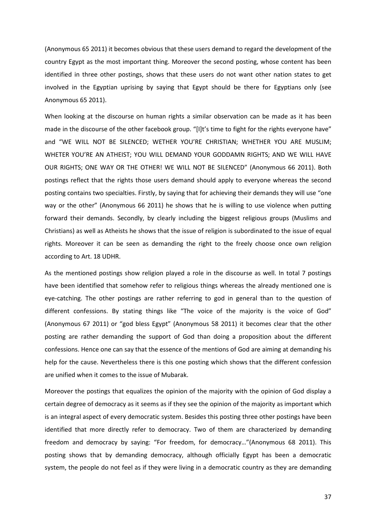(Anonymous 65 2011) it becomes obvious that these users demand to regard the development of the country Egypt as the most important thing. Moreover the second posting, whose content has been identified in three other postings, shows that these users do not want other nation states to get involved in the Egyptian uprising by saying that Egypt should be there for Egyptians only (see Anonymous 65 2011).

When looking at the discourse on human rights a similar observation can be made as it has been made in the discourse of the other facebook group. "[I]t's time to fight for the rights everyone have" and "WE WILL NOT BE SILENCED; WETHER YOU'RE CHRISTIAN; WHETHER YOU ARE MUSLIM; WHETER YOU'RE AN ATHEIST; YOU WILL DEMAND YOUR GODDAMN RIGHTS; AND WE WILL HAVE OUR RIGHTS; ONE WAY OR THE OTHER! WE WILL NOT BE SILENCED" (Anonymous 66 2011). Both postings reflect that the rights those users demand should apply to everyone whereas the second posting contains two specialties. Firstly, by saying that for achieving their demands they will use "one way or the other" (Anonymous 66 2011) he shows that he is willing to use violence when putting forward their demands. Secondly, by clearly including the biggest religious groups (Muslims and Christians) as well as Atheists he shows that the issue of religion is subordinated to the issue of equal rights. Moreover it can be seen as demanding the right to the freely choose once own religion according to Art. 18 UDHR.

As the mentioned postings show religion played a role in the discourse as well. In total 7 postings have been identified that somehow refer to religious things whereas the already mentioned one is eye-catching. The other postings are rather referring to god in general than to the question of different confessions. By stating things like "The voice of the majority is the voice of God" (Anonymous 67 2011) or "god bless Egypt" (Anonymous 58 2011) it becomes clear that the other posting are rather demanding the support of God than doing a proposition about the different confessions. Hence one can say that the essence of the mentions of God are aiming at demanding his help for the cause. Nevertheless there is this one posting which shows that the different confession are unified when it comes to the issue of Mubarak.

Moreover the postings that equalizes the opinion of the majority with the opinion of God display a certain degree of democracy as it seems as if they see the opinion of the majority as important which is an integral aspect of every democratic system. Besides this posting three other postings have been identified that more directly refer to democracy. Two of them are characterized by demanding freedom and democracy by saying: "For freedom, for democracy…"(Anonymous 68 2011). This posting shows that by demanding democracy, although officially Egypt has been a democratic system, the people do not feel as if they were living in a democratic country as they are demanding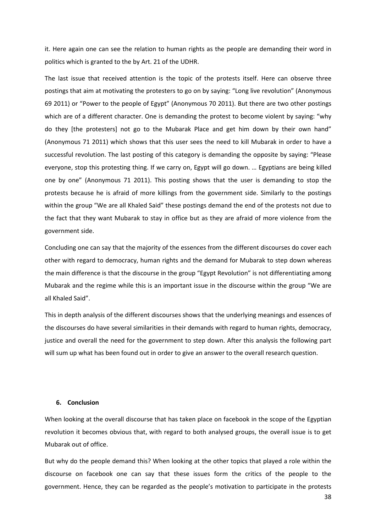it. Here again one can see the relation to human rights as the people are demanding their word in politics which is granted to the by Art. 21 of the UDHR.

The last issue that received attention is the topic of the protests itself. Here can observe three postings that aim at motivating the protesters to go on by saying: "Long live revolution" (Anonymous 69 2011) or "Power to the people of Egypt" (Anonymous 70 2011). But there are two other postings which are of a different character. One is demanding the protest to become violent by saying: "why do they [the protesters] not go to the Mubarak Place and get him down by their own hand" (Anonymous 71 2011) which shows that this user sees the need to kill Mubarak in order to have a successful revolution. The last posting of this category is demanding the opposite by saying: "Please everyone, stop this protesting thing. If we carry on, Egypt will go down. … Egyptians are being killed one by one" (Anonymous 71 2011). This posting shows that the user is demanding to stop the protests because he is afraid of more killings from the government side. Similarly to the postings within the group "We are all Khaled Said" these postings demand the end of the protests not due to the fact that they want Mubarak to stay in office but as they are afraid of more violence from the government side.

Concluding one can say that the majority of the essences from the different discourses do cover each other with regard to democracy, human rights and the demand for Mubarak to step down whereas the main difference is that the discourse in the group "Egypt Revolution" is not differentiating among Mubarak and the regime while this is an important issue in the discourse within the group "We are all Khaled Said".

This in depth analysis of the different discourses shows that the underlying meanings and essences of the discourses do have several similarities in their demands with regard to human rights, democracy, justice and overall the need for the government to step down. After this analysis the following part will sum up what has been found out in order to give an answer to the overall research question.

# **6. Conclusion**

When looking at the overall discourse that has taken place on facebook in the scope of the Egyptian revolution it becomes obvious that, with regard to both analysed groups, the overall issue is to get Mubarak out of office.

But why do the people demand this? When looking at the other topics that played a role within the discourse on facebook one can say that these issues form the critics of the people to the government. Hence, they can be regarded as the people's motivation to participate in the protests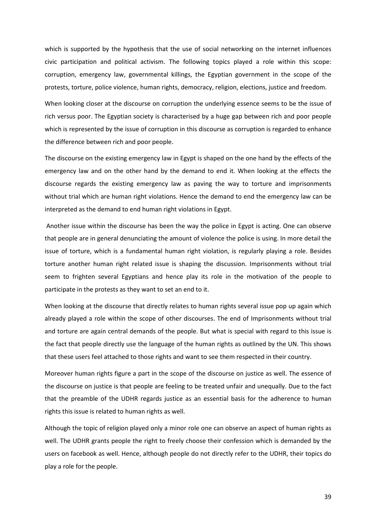which is supported by the hypothesis that the use of social networking on the internet influences civic participation and political activism. The following topics played a role within this scope: corruption, emergency law, governmental killings, the Egyptian government in the scope of the protests, torture, police violence, human rights, democracy, religion, elections, justice and freedom.

When looking closer at the discourse on corruption the underlying essence seems to be the issue of rich versus poor. The Egyptian society is characterised by a huge gap between rich and poor people which is represented by the issue of corruption in this discourse as corruption is regarded to enhance the difference between rich and poor people.

The discourse on the existing emergency law in Egypt is shaped on the one hand by the effects of the emergency law and on the other hand by the demand to end it. When looking at the effects the discourse regards the existing emergency law as paving the way to torture and imprisonments without trial which are human right violations. Hence the demand to end the emergency law can be interpreted as the demand to end human right violations in Egypt.

 Another issue within the discourse has been the way the police in Egypt is acting. One can observe that people are in general denunciating the amount of violence the police is using. In more detail the issue of torture, which is a fundamental human right violation, is regularly playing a role. Besides torture another human right related issue is shaping the discussion. Imprisonments without trial seem to frighten several Egyptians and hence play its role in the motivation of the people to participate in the protests as they want to set an end to it.

When looking at the discourse that directly relates to human rights several issue pop up again which already played a role within the scope of other discourses. The end of Imprisonments without trial and torture are again central demands of the people. But what is special with regard to this issue is the fact that people directly use the language of the human rights as outlined by the UN. This shows that these users feel attached to those rights and want to see them respected in their country.

Moreover human rights figure a part in the scope of the discourse on justice as well. The essence of the discourse on justice is that people are feeling to be treated unfair and unequally. Due to the fact that the preamble of the UDHR regards justice as an essential basis for the adherence to human rights this issue is related to human rights as well.

Although the topic of religion played only a minor role one can observe an aspect of human rights as well. The UDHR grants people the right to freely choose their confession which is demanded by the users on facebook as well. Hence, although people do not directly refer to the UDHR, their topics do play a role for the people.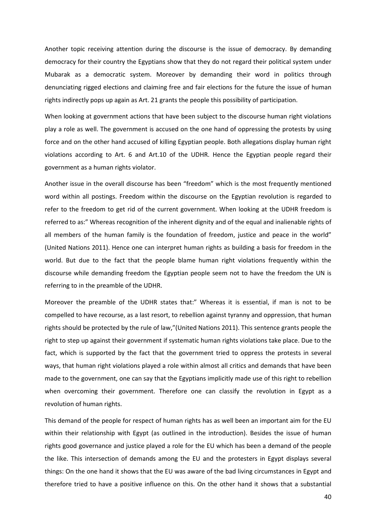Another topic receiving attention during the discourse is the issue of democracy. By demanding democracy for their country the Egyptians show that they do not regard their political system under Mubarak as a democratic system. Moreover by demanding their word in politics through denunciating rigged elections and claiming free and fair elections for the future the issue of human rights indirectly pops up again as Art. 21 grants the people this possibility of participation.

When looking at government actions that have been subject to the discourse human right violations play a role as well. The government is accused on the one hand of oppressing the protests by using force and on the other hand accused of killing Egyptian people. Both allegations display human right violations according to Art. 6 and Art.10 of the UDHR. Hence the Egyptian people regard their government as a human rights violator.

Another issue in the overall discourse has been "freedom" which is the most frequently mentioned word within all postings. Freedom within the discourse on the Egyptian revolution is regarded to refer to the freedom to get rid of the current government. When looking at the UDHR freedom is referred to as:" Whereas recognition of the inherent dignity and of the equal and inalienable rights of all members of the human family is the foundation of freedom, justice and peace in the world" (United Nations 2011). Hence one can interpret human rights as building a basis for freedom in the world. But due to the fact that the people blame human right violations frequently within the discourse while demanding freedom the Egyptian people seem not to have the freedom the UN is referring to in the preamble of the UDHR.

Moreover the preamble of the UDHR states that:" Whereas it is essential, if man is not to be compelled to have recourse, as a last resort, to rebellion against tyranny and oppression, that human rights should be protected by the rule of law,"(United Nations 2011). This sentence grants people the right to step up against their government if systematic human rights violations take place. Due to the fact, which is supported by the fact that the government tried to oppress the protests in several ways, that human right violations played a role within almost all critics and demands that have been made to the government, one can say that the Egyptians implicitly made use of this right to rebellion when overcoming their government. Therefore one can classify the revolution in Egypt as a revolution of human rights.

This demand of the people for respect of human rights has as well been an important aim for the EU within their relationship with Egypt (as outlined in the introduction). Besides the issue of human rights good governance and justice played a role for the EU which has been a demand of the people the like. This intersection of demands among the EU and the protesters in Egypt displays several things: On the one hand it shows that the EU was aware of the bad living circumstances in Egypt and therefore tried to have a positive influence on this. On the other hand it shows that a substantial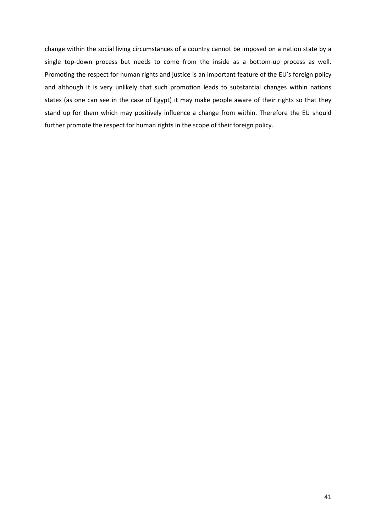change within the social living circumstances of a country cannot be imposed on a nation state by a single top-down process but needs to come from the inside as a bottom-up process as well. Promoting the respect for human rights and justice is an important feature of the EU's foreign policy and although it is very unlikely that such promotion leads to substantial changes within nations states (as one can see in the case of Egypt) it may make people aware of their rights so that they stand up for them which may positively influence a change from within. Therefore the EU should further promote the respect for human rights in the scope of their foreign policy.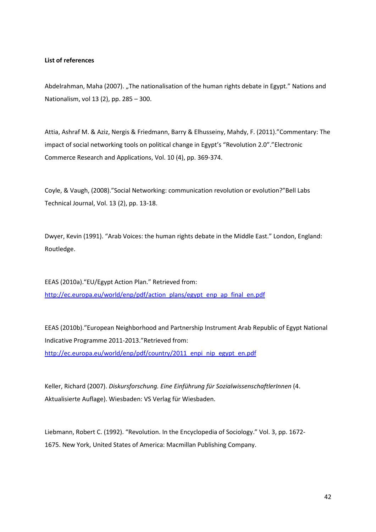# **List of references**

Abdelrahman, Maha (2007). "The nationalisation of the human rights debate in Egypt." Nations and Nationalism, vol 13 (2), pp. 285 – 300.

Attia, Ashraf M. & Aziz, Nergis & Friedmann, Barry & Elhusseiny, Mahdy, F. (2011)."Commentary: The impact of social networking tools on political change in Egypt's "Revolution 2.0"."Electronic Commerce Research and Applications, Vol. 10 (4), pp. 369-374.

Coyle, & Vaugh, (2008)."Social Networking: communication revolution or evolution?"Bell Labs Technical Journal, Vol. 13 (2), pp. 13-18.

Dwyer, Kevin (1991). "Arab Voices: the human rights debate in the Middle East." London, England: Routledge.

EEAS (2010a)."EU/Egypt Action Plan." Retrieved from: http://ec.europa.eu/world/enp/pdf/action\_plans/egypt\_enp\_ap\_final\_en.pdf

EEAS (2010b)."European Neighborhood and Partnership Instrument Arab Republic of Egypt National Indicative Programme 2011-2013."Retrieved from: http://ec.europa.eu/world/enp/pdf/country/2011\_enpi\_nip\_egypt\_en.pdf

Keller, Richard (2007). *Diskursforschung. Eine Einführung für SozialwissenschaftlerInnen* (4. Aktualisierte Auflage). Wiesbaden: VS Verlag für Wiesbaden.

Liebmann, Robert C. (1992). "Revolution. In the Encyclopedia of Sociology." Vol. 3, pp. 1672- 1675. New York, United States of America: Macmillan Publishing Company.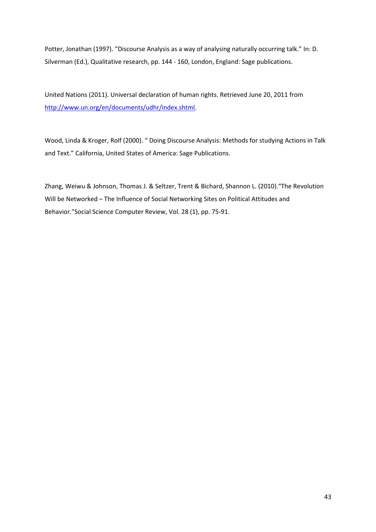Potter, Jonathan (1997). "Discourse Analysis as a way of analysing naturally occurring talk." In: D. Silverman (Ed.), Qualitative research, pp. 144 - 160, London, England: Sage publications.

United Nations (2011). Universal declaration of human rights. Retrieved June 20, 2011 from http://www.un.org/en/documents/udhr/index.shtml.

Wood, Linda & Kroger, Rolf (2000). " Doing Discourse Analysis: Methods for studying Actions in Talk and Text." California, United States of America: Sage Publications.

Zhang, Weiwu & Johnson, Thomas J. & Seltzer, Trent & Bichard, Shannon L. (2010)."The Revolution Will be Networked – The Influence of Social Networking Sites on Political Attitudes and Behavior."Social Science Computer Review, Vol. 28 (1), pp. 75-91.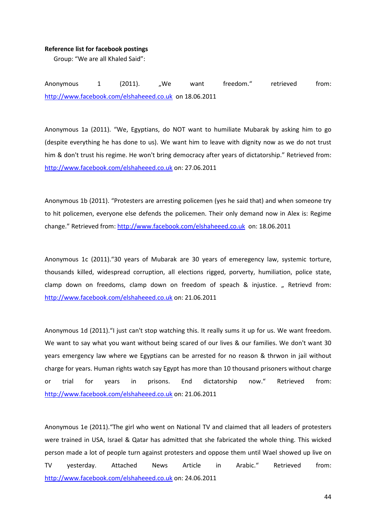## **Reference list for facebook postings**

Group: "We are all Khaled Said":

Anonymous 1 (2011). "We want freedom." retrieved from: http://www.facebook.com/elshaheeed.co.uk on 18.06.2011

Anonymous 1a (2011). "We, Egyptians, do NOT want to humiliate Mubarak by asking him to go (despite everything he has done to us). We want him to leave with dignity now as we do not trust him & don't trust his regime. He won't bring democracy after years of dictatorship." Retrieved from: http://www.facebook.com/elshaheeed.co.uk on: 27.06.2011

Anonymous 1b (2011). "Protesters are arresting policemen (yes he said that) and when someone try to hit policemen, everyone else defends the policemen. Their only demand now in Alex is: Regime change." Retrieved from: http://www.facebook.com/elshaheeed.co.uk on: 18.06.2011

Anonymous 1c (2011)."30 years of Mubarak are 30 years of emeregency law, systemic torture, thousands killed, widespread corruption, all elections rigged, porverty, humiliation, police state, clamp down on freedoms, clamp down on freedom of speach & injustice. "Retrievd from: http://www.facebook.com/elshaheeed.co.uk on: 21.06.2011

Anonymous 1d (2011)."I just can't stop watching this. It really sums it up for us. We want freedom. We want to say what you want without being scared of our lives & our families. We don't want 30 years emergency law where we Egyptians can be arrested for no reason & thrwon in jail without charge for years. Human rights watch say Egypt has more than 10 thousand prisoners without charge or trial for years in prisons. End dictatorship now." Retrieved from: http://www.facebook.com/elshaheeed.co.uk on: 21.06.2011

Anonymous 1e (2011)."The girl who went on National TV and claimed that all leaders of protesters were trained in USA, Israel & Qatar has admitted that she fabricated the whole thing. This wicked person made a lot of people turn against protesters and oppose them until Wael showed up live on TV yesterday. Attached News Article in Arabic." Retrieved from: http://www.facebook.com/elshaheeed.co.uk on: 24.06.2011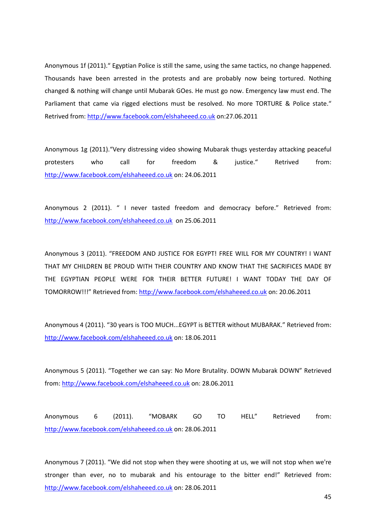Anonymous 1f (2011)." Egyptian Police is still the same, using the same tactics, no change happened. Thousands have been arrested in the protests and are probably now being tortured. Nothing changed & nothing will change until Mubarak GOes. He must go now. Emergency law must end. The Parliament that came via rigged elections must be resolved. No more TORTURE & Police state." Retrived from: http://www.facebook.com/elshaheeed.co.uk on:27.06.2011

Anonymous 1g (2011)."Very distressing video showing Mubarak thugs yesterday attacking peaceful protesters who call for freedom & justice." Retrived from: http://www.facebook.com/elshaheeed.co.uk on: 24.06.2011

Anonymous 2 (2011). " I never tasted freedom and democracy before." Retrieved from: http://www.facebook.com/elshaheeed.co.uk on 25.06.2011

Anonymous 3 (2011). "FREEDOM AND JUSTICE FOR EGYPT! FREE WILL FOR MY COUNTRY! I WANT THAT MY CHILDREN BE PROUD WITH THEIR COUNTRY AND KNOW THAT THE SACRIFICES MADE BY THE EGYPTIAN PEOPLE WERE FOR THEIR BETTER FUTURE! I WANT TODAY THE DAY OF TOMORROW!!!" Retrieved from: http://www.facebook.com/elshaheeed.co.uk on: 20.06.2011

Anonymous 4 (2011). "30 years is TOO MUCH...EGYPT is BETTER without MUBARAK." Retrieved from: http://www.facebook.com/elshaheeed.co.uk on: 18.06.2011

Anonymous 5 (2011). "Together we can say: No More Brutality. DOWN Mubarak DOWN" Retrieved from: http://www.facebook.com/elshaheeed.co.uk on: 28.06.2011

Anonymous 6 (2011). "MOBARK GO TO HELL" Retrieved from: http://www.facebook.com/elshaheeed.co.uk on: 28.06.2011

Anonymous 7 (2011). "We did not stop when they were shooting at us, we will not stop when we're stronger than ever, no to mubarak and his entourage to the bitter end!" Retrieved from: http://www.facebook.com/elshaheeed.co.uk on: 28.06.2011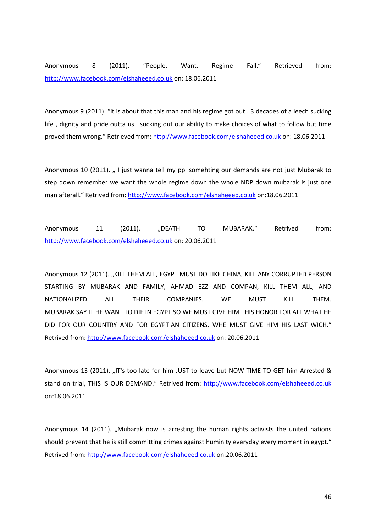Anonymous 8 (2011). "People. Want. Regime Fall." Retrieved from: http://www.facebook.com/elshaheeed.co.uk on: 18.06.2011

Anonymous 9 (2011). "it is about that this man and his regime got out . 3 decades of a leech sucking life , dignity and pride outta us . sucking out our ability to make choices of what to follow but time proved them wrong." Retrieved from: http://www.facebook.com/elshaheeed.co.uk on: 18.06.2011

Anonymous 10 (2011). "I just wanna tell my ppl somehting our demands are not just Mubarak to step down remember we want the whole regime down the whole NDP down mubarak is just one man afterall." Retrived from: http://www.facebook.com/elshaheeed.co.uk on:18.06.2011

Anonymous 11 (2011). "DEATH TO MUBARAK." Retrived from: http://www.facebook.com/elshaheeed.co.uk on: 20.06.2011

Anonymous 12 (2011). "KILL THEM ALL, EGYPT MUST DO LIKE CHINA, KILL ANY CORRUPTED PERSON STARTING BY MUBARAK AND FAMILY, AHMAD EZZ AND COMPAN, KILL THEM ALL, AND NATIONALIZED ALL THEIR COMPANIES. WE MUST KILL THEM. MUBARAK SAY IT HE WANT TO DIE IN EGYPT SO WE MUST GIVE HIM THIS HONOR FOR ALL WHAT HE DID FOR OUR COUNTRY AND FOR EGYPTIAN CITIZENS, WHE MUST GIVE HIM HIS LAST WICH." Retrived from: http://www.facebook.com/elshaheeed.co.uk on: 20.06.2011

Anonymous 13 (2011). "IT's too late for him JUST to leave but NOW TIME TO GET him Arrested & stand on trial, THIS IS OUR DEMAND." Retrived from: http://www.facebook.com/elshaheeed.co.uk on:18.06.2011

Anonymous 14 (2011). "Mubarak now is arresting the human rights activists the united nations should prevent that he is still committing crimes against huminity everyday every moment in egypt." Retrived from: http://www.facebook.com/elshaheeed.co.uk on:20.06.2011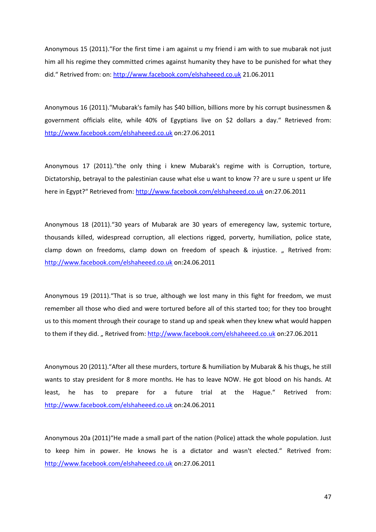Anonymous 15 (2011)."For the first time i am against u my friend i am with to sue mubarak not just him all his regime they committed crimes against humanity they have to be punished for what they did." Retrived from: on: http://www.facebook.com/elshaheeed.co.uk 21.06.2011

Anonymous 16 (2011)."Mubarak's family has \$40 billion, billions more by his corrupt businessmen & government officials elite, while 40% of Egyptians live on \$2 dollars a day." Retrieved from: http://www.facebook.com/elshaheeed.co.uk on:27.06.2011

Anonymous 17 (2011)."the only thing i knew Mubarak's regime with is Corruption, torture, Dictatorship, betrayal to the palestinian cause what else u want to know ?? are u sure u spent ur life here in Egypt?" Retrieved from: http://www.facebook.com/elshaheeed.co.uk on:27.06.2011

Anonymous 18 (2011)."30 years of Mubarak are 30 years of emeregency law, systemic torture, thousands killed, widespread corruption, all elections rigged, porverty, humiliation, police state, clamp down on freedoms, clamp down on freedom of speach & injustice. "Retrived from: http://www.facebook.com/elshaheeed.co.uk on:24.06.2011

Anonymous 19 (2011)."That is so true, although we lost many in this fight for freedom, we must remember all those who died and were tortured before all of this started too; for they too brought us to this moment through their courage to stand up and speak when they knew what would happen to them if they did. "Retrived from: http://www.facebook.com/elshaheeed.co.uk on:27.06.2011

Anonymous 20 (2011)."After all these murders, torture & humiliation by Mubarak & his thugs, he still wants to stay president for 8 more months. He has to leave NOW. He got blood on his hands. At least, he has to prepare for a future trial at the Hague." Retrived from: http://www.facebook.com/elshaheeed.co.uk on:24.06.2011

Anonymous 20a (2011)"He made a small part of the nation (Police) attack the whole population. Just to keep him in power. He knows he is a dictator and wasn't elected." Retrived from: http://www.facebook.com/elshaheeed.co.uk on:27.06.2011

47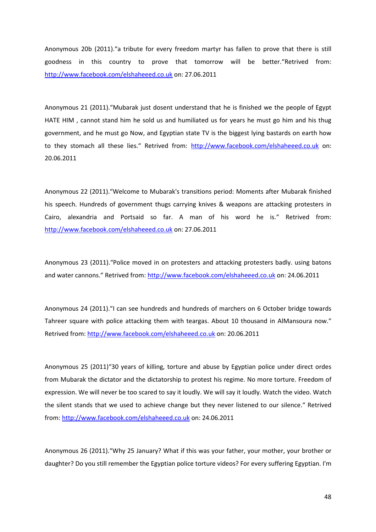Anonymous 20b (2011)."a tribute for every freedom martyr has fallen to prove that there is still goodness in this country to prove that tomorrow will be better."Retrived from: http://www.facebook.com/elshaheeed.co.uk on: 27.06.2011

Anonymous 21 (2011)."Mubarak just dosent understand that he is finished we the people of Egypt HATE HIM , cannot stand him he sold us and humiliated us for years he must go him and his thug government, and he must go Now, and Egyptian state TV is the biggest lying bastards on earth how to they stomach all these lies." Retrived from: http://www.facebook.com/elshaheeed.co.uk on: 20.06.2011

Anonymous 22 (2011)."Welcome to Mubarak's transitions period: Moments after Mubarak finished his speech. Hundreds of government thugs carrying knives & weapons are attacking protesters in Cairo, alexandria and Portsaid so far. A man of his word he is." Retrived from: http://www.facebook.com/elshaheeed.co.uk on: 27.06.2011

Anonymous 23 (2011)."Police moved in on protesters and attacking protesters badly. using batons and water cannons." Retrived from: http://www.facebook.com/elshaheeed.co.uk on: 24.06.2011

Anonymous 24 (2011)."I can see hundreds and hundreds of marchers on 6 October bridge towards Tahreer square with police attacking them with teargas. About 10 thousand in AlMansoura now." Retrived from: http://www.facebook.com/elshaheeed.co.uk on: 20.06.2011

Anonymous 25 (2011)"30 years of killing, torture and abuse by Egyptian police under direct ordes from Mubarak the dictator and the dictatorship to protest his regime. No more torture. Freedom of expression. We will never be too scared to say it loudly. We will say it loudly. Watch the video. Watch the silent stands that we used to achieve change but they never listened to our silence." Retrived from: http://www.facebook.com/elshaheeed.co.uk on: 24.06.2011

Anonymous 26 (2011)."Why 25 January? What if this was your father, your mother, your brother or daughter? Do you still remember the Egyptian police torture videos? For every suffering Egyptian. I'm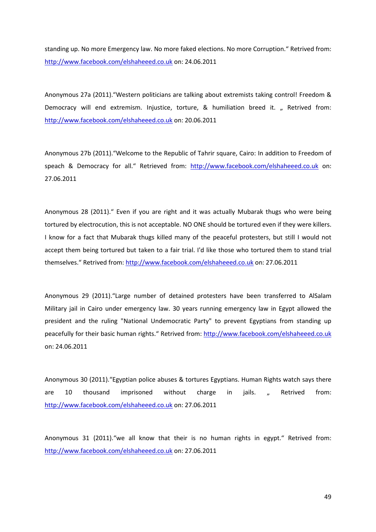standing up. No more Emergency law. No more faked elections. No more Corruption." Retrived from: http://www.facebook.com/elshaheeed.co.uk on: 24.06.2011

Anonymous 27a (2011)."Western politicians are talking about extremists taking control! Freedom & Democracy will end extremism. Injustice, torture, & humiliation breed it. "Retrived from: http://www.facebook.com/elshaheeed.co.uk on: 20.06.2011

Anonymous 27b (2011)."Welcome to the Republic of Tahrir square, Cairo: In addition to Freedom of speach & Democracy for all." Retrieved from: http://www.facebook.com/elshaheeed.co.uk on: 27.06.2011

Anonymous 28 (2011)." Even if you are right and it was actually Mubarak thugs who were being tortured by electrocution, this is not acceptable. NO ONE should be tortured even if they were killers. I know for a fact that Mubarak thugs killed many of the peaceful protesters, but still I would not accept them being tortured but taken to a fair trial. I'd like those who tortured them to stand trial themselves." Retrived from: http://www.facebook.com/elshaheeed.co.uk on: 27.06.2011

Anonymous 29 (2011)."Large number of detained protesters have been transferred to AlSalam Military jail in Cairo under emergency law. 30 years running emergency law in Egypt allowed the president and the ruling "National Undemocratic Party" to prevent Egyptians from standing up peacefully for their basic human rights." Retrived from: http://www.facebook.com/elshaheeed.co.uk on: 24.06.2011

Anonymous 30 (2011)."Egyptian police abuses & tortures Egyptians. Human Rights watch says there are 10 thousand imprisoned without charge in jails. " Retrived from: http://www.facebook.com/elshaheeed.co.uk on: 27.06.2011

Anonymous 31 (2011)."we all know that their is no human rights in egypt." Retrived from: http://www.facebook.com/elshaheeed.co.uk on: 27.06.2011

49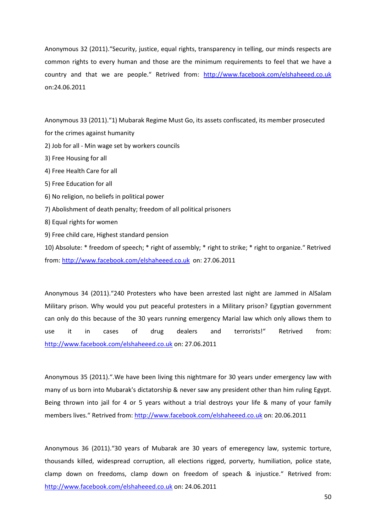Anonymous 32 (2011)."Security, justice, equal rights, transparency in telling, our minds respects are common rights to every human and those are the minimum requirements to feel that we have a country and that we are people." Retrived from: http://www.facebook.com/elshaheeed.co.uk on:24.06.2011

Anonymous 33 (2011)."1) Mubarak Regime Must Go, its assets confiscated, its member prosecuted for the crimes against humanity

- 2) Job for all Min wage set by workers councils
- 3) Free Housing for all
- 4) Free Health Care for all
- 5) Free Education for all
- 6) No religion, no beliefs in political power
- 7) Abolishment of death penalty; freedom of all political prisoners
- 8) Equal rights for women
- 9) Free child care, Highest standard pension

10) Absolute: \* freedom of speech; \* right of assembly; \* right to strike; \* right to organize." Retrived from: http://www.facebook.com/elshaheeed.co.uk on: 27.06.2011

Anonymous 34 (2011)."240 Protesters who have been arrested last night are Jammed in AlSalam Military prison. Why would you put peaceful protesters in a Military prison? Egyptian government can only do this because of the 30 years running emergency Marial law which only allows them to use it in cases of drug dealers and terrorists!" Retrived from: http://www.facebook.com/elshaheeed.co.uk on: 27.06.2011

Anonymous 35 (2011).".We have been living this nightmare for 30 years under emergency law with many of us born into Mubarak's dictatorship & never saw any president other than him ruling Egypt. Being thrown into jail for 4 or 5 years without a trial destroys your life & many of your family members lives." Retrived from: http://www.facebook.com/elshaheeed.co.uk on: 20.06.2011

Anonymous 36 (2011)."30 years of Mubarak are 30 years of emeregency law, systemic torture, thousands killed, widespread corruption, all elections rigged, porverty, humiliation, police state, clamp down on freedoms, clamp down on freedom of speach & injustice." Retrived from: http://www.facebook.com/elshaheeed.co.uk on: 24.06.2011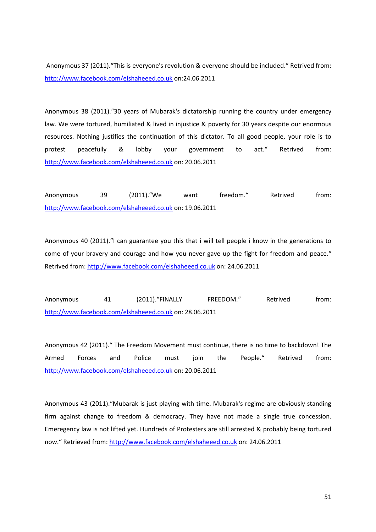Anonymous 37 (2011)."This is everyone's revolution & everyone should be included." Retrived from: http://www.facebook.com/elshaheeed.co.uk on:24.06.2011

Anonymous 38 (2011)."30 years of Mubarak's dictatorship running the country under emergency law. We were tortured, humiliated & lived in injustice & poverty for 30 years despite our enormous resources. Nothing justifies the continuation of this dictator. To all good people, your role is to protest peacefully & lobby your government to act." Retrived from: http://www.facebook.com/elshaheeed.co.uk on: 20.06.2011

Anonymous 39 (2011). "We want freedom." Retrived from: http://www.facebook.com/elshaheeed.co.uk on: 19.06.2011

Anonymous 40 (2011)."I can guarantee you this that i will tell people i know in the generations to come of your bravery and courage and how you never gave up the fight for freedom and peace." Retrived from: http://www.facebook.com/elshaheeed.co.uk on: 24.06.2011

Anonymous 41 (2011). "FINALLY FREEDOM." Retrived from: http://www.facebook.com/elshaheeed.co.uk on: 28.06.2011

Anonymous 42 (2011)." The Freedom Movement must continue, there is no time to backdown! The Armed Forces and Police must join the People." Retrived from: http://www.facebook.com/elshaheeed.co.uk on: 20.06.2011

Anonymous 43 (2011)."Mubarak is just playing with time. Mubarak's regime are obviously standing firm against change to freedom & democracy. They have not made a single true concession. Emeregency law is not lifted yet. Hundreds of Protesters are still arrested & probably being tortured now." Retrieved from: http://www.facebook.com/elshaheeed.co.uk on: 24.06.2011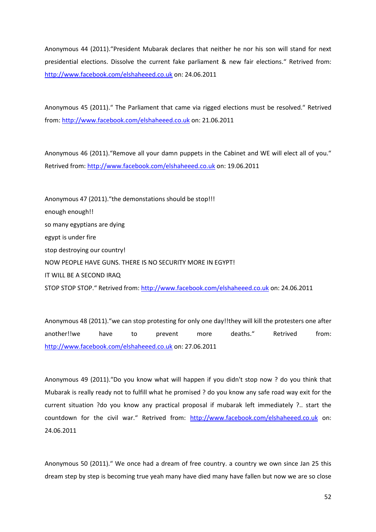Anonymous 44 (2011)."President Mubarak declares that neither he nor his son will stand for next presidential elections. Dissolve the current fake parliament & new fair elections." Retrived from: http://www.facebook.com/elshaheeed.co.uk on: 24.06.2011

Anonymous 45 (2011)." The Parliament that came via rigged elections must be resolved." Retrived from: http://www.facebook.com/elshaheeed.co.uk on: 21.06.2011

Anonymous 46 (2011)."Remove all your damn puppets in the Cabinet and WE will elect all of you." Retrived from: http://www.facebook.com/elshaheeed.co.uk on: 19.06.2011

Anonymous 47 (2011)."the demonstations should be stop!!! enough enough!! so many egyptians are dying egypt is under fire stop destroying our country! NOW PEOPLE HAVE GUNS. THERE IS NO SECURITY MORE IN EGYPT! IT WILL BE A SECOND IRAQ STOP STOP STOP." Retrived from: http://www.facebook.com/elshaheeed.co.uk on: 24.06.2011

Anonymous 48 (2011)."we can stop protesting for only one day!!they will kill the protesters one after another!!we have to prevent more deaths." Retrived from: http://www.facebook.com/elshaheeed.co.uk on: 27.06.2011

Anonymous 49 (2011)."Do you know what will happen if you didn't stop now ? do you think that Mubarak is really ready not to fulfill what he promised ? do you know any safe road way exit for the current situation ?do you know any practical proposal if mubarak left immediately ?.. start the countdown for the civil war." Retrived from: http://www.facebook.com/elshaheeed.co.uk on: 24.06.2011

Anonymous 50 (2011)." We once had a dream of free country. a country we own since Jan 25 this dream step by step is becoming true yeah many have died many have fallen but now we are so close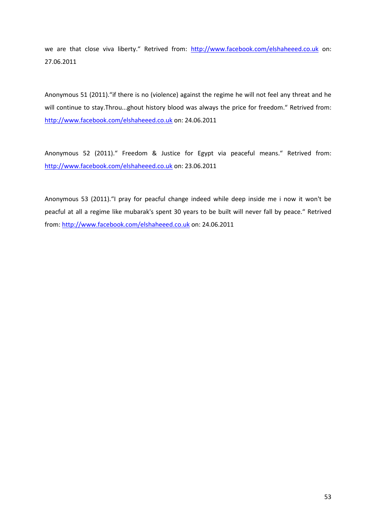we are that close viva liberty." Retrived from: http://www.facebook.com/elshaheeed.co.uk on: 27.06.2011

Anonymous 51 (2011)."if there is no (violence) against the regime he will not feel any threat and he will continue to stay.Throu...ghout history blood was always the price for freedom." Retrived from: http://www.facebook.com/elshaheeed.co.uk on: 24.06.2011

Anonymous 52 (2011)." Freedom & Justice for Egypt via peaceful means." Retrived from: http://www.facebook.com/elshaheeed.co.uk on: 23.06.2011

Anonymous 53 (2011)."I pray for peacful change indeed while deep inside me i now it won't be peacful at all a regime like mubarak's spent 30 years to be built will never fall by peace." Retrived from: http://www.facebook.com/elshaheeed.co.uk on: 24.06.2011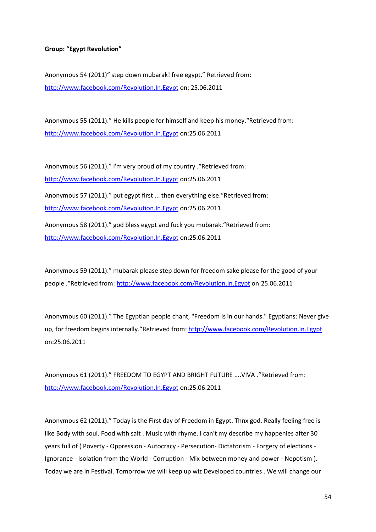# **Group: "Egypt Revolution"**

Anonymous 54 (2011)" step down mubarak! free egypt." Retrieved from: http://www.facebook.com/Revolution.In.Egypt on: 25.06.2011

Anonymous 55 (2011)." He kills people for himself and keep his money."Retrieved from: http://www.facebook.com/Revolution.In.Egypt on:25.06.2011

Anonymous 56 (2011)." i'm very proud of my country ."Retrieved from: http://www.facebook.com/Revolution.In.Egypt on:25.06.2011 Anonymous 57 (2011)." put egypt first ... then everything else."Retrieved from: http://www.facebook.com/Revolution.In.Egypt on:25.06.2011 Anonymous 58 (2011)." god bless egypt and fuck you mubarak."Retrieved from: http://www.facebook.com/Revolution.In.Egypt on:25.06.2011

Anonymous 59 (2011)." mubarak please step down for freedom sake please for the good of your people ."Retrieved from: http://www.facebook.com/Revolution.In.Egypt on:25.06.2011

Anonymous 60 (2011)." The Egyptian people chant, "Freedom is in our hands." Egyptians: Never give up, for freedom begins internally."Retrieved from: http://www.facebook.com/Revolution.In.Egypt on:25.06.2011

Anonymous 61 (2011)." FREEDOM TO EGYPT AND BRIGHT FUTURE ....VIVA ."Retrieved from: http://www.facebook.com/Revolution.In.Egypt on:25.06.2011

Anonymous 62 (2011)." Today is the First day of Freedom in Egypt. Thnx god. Really feeling free is like Body with soul. Food with salt . Music with rhyme. I can't my describe my happenies after 30 years full of ( Poverty - Oppression - Autocracy - Persecution- Dictatorism - Forgery of elections - Ignorance - Isolation from the World - Corruption - Mix between money and power - Nepotism ). Today we are in Festival. Tomorrow we will keep up wiz Developed countries . We will change our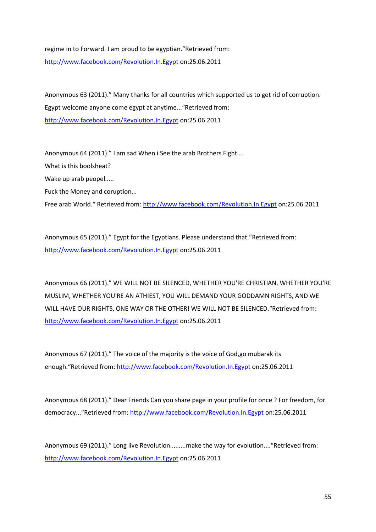# regime in to Forward. I am proud to be egyptian."Retrieved from: http://www.facebook.com/Revolution.In.Egypt on:25.06.2011

Anonymous 63 (2011)." Many thanks for all countries which supported us to get rid of corruption. Egypt welcome anyone come egypt at anytime..."Retrieved from: http://www.facebook.com/Revolution.In.Egypt on:25.06.2011

Anonymous 64 (2011)." I am sad When i See the arab Brothers Fight.... What is this boolsheat? Wake up arab peopel..... Fuck the Money and coruption... Free arab World." Retrieved from: http://www.facebook.com/Revolution.In.Egypt on:25.06.2011

Anonymous 65 (2011)." Egypt for the Egyptians. Please understand that."Retrieved from: http://www.facebook.com/Revolution.In.Egypt on:25.06.2011

Anonymous 66 (2011)." WE WILL NOT BE SILENCED, WHETHER YOU'RE CHRISTIAN, WHETHER YOU'RE MUSLIM, WHETHER YOU'RE AN ATHIEST, YOU WILL DEMAND YOUR GODDAMN RIGHTS, AND WE WILL HAVE OUR RIGHTS, ONE WAY OR THE OTHER! WE WILL NOT BE SILENCED."Retrieved from: http://www.facebook.com/Revolution.In.Egypt on:25.06.2011

Anonymous 67 (2011)." The voice of the majority is the voice of God,go mubarak its enough."Retrieved from: http://www.facebook.com/Revolution.In.Egypt on:25.06.2011

Anonymous 68 (2011)." Dear Friends Can you share page in your profile for once ? For freedom, for democracy..."Retrieved from: http://www.facebook.com/Revolution.In.Egypt on:25.06.2011

Anonymous 69 (2011)." Long live Revolution.........make the way for evolution...."Retrieved from: http://www.facebook.com/Revolution.In.Egypt on:25.06.2011